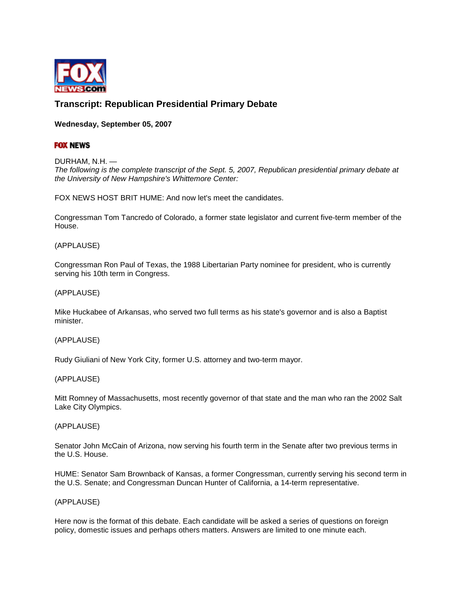

# **Transcript: Republican Presidential Primary Debate**

# **Wednesday, September 05, 2007**

# **FOX NEWS**

DURHAM, N.H. — The following is the complete transcript of the Sept. 5, 2007, Republican presidential primary debate at the University of New Hampshire's Whittemore Center:

FOX NEWS HOST BRIT HUME: And now let's meet the candidates.

Congressman Tom Tancredo of Colorado, a former state legislator and current five-term member of the House.

(APPLAUSE)

Congressman Ron Paul of Texas, the 1988 Libertarian Party nominee for president, who is currently serving his 10th term in Congress.

(APPLAUSE)

Mike Huckabee of Arkansas, who served two full terms as his state's governor and is also a Baptist minister.

(APPLAUSE)

Rudy Giuliani of New York City, former U.S. attorney and two-term mayor.

(APPLAUSE)

Mitt Romney of Massachusetts, most recently governor of that state and the man who ran the 2002 Salt Lake City Olympics.

# (APPLAUSE)

Senator John McCain of Arizona, now serving his fourth term in the Senate after two previous terms in the U.S. House.

HUME: Senator Sam Brownback of Kansas, a former Congressman, currently serving his second term in the U.S. Senate; and Congressman Duncan Hunter of California, a 14-term representative.

#### (APPLAUSE)

Here now is the format of this debate. Each candidate will be asked a series of questions on foreign policy, domestic issues and perhaps others matters. Answers are limited to one minute each.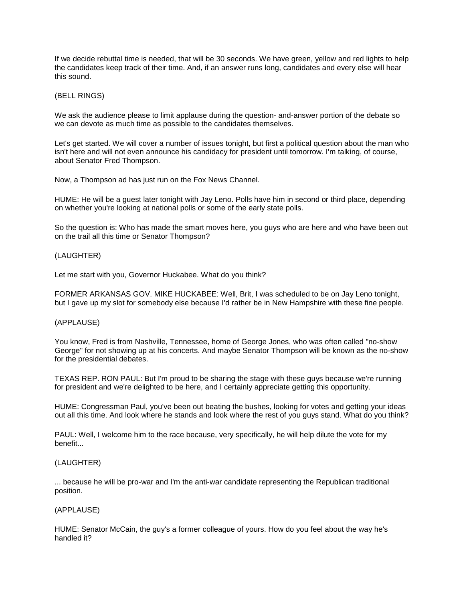If we decide rebuttal time is needed, that will be 30 seconds. We have green, yellow and red lights to help the candidates keep track of their time. And, if an answer runs long, candidates and every else will hear this sound.

# (BELL RINGS)

We ask the audience please to limit applause during the question- and-answer portion of the debate so we can devote as much time as possible to the candidates themselves.

Let's get started. We will cover a number of issues tonight, but first a political question about the man who isn't here and will not even announce his candidacy for president until tomorrow. I'm talking, of course, about Senator Fred Thompson.

Now, a Thompson ad has just run on the Fox News Channel.

HUME: He will be a guest later tonight with Jay Leno. Polls have him in second or third place, depending on whether you're looking at national polls or some of the early state polls.

So the question is: Who has made the smart moves here, you guys who are here and who have been out on the trail all this time or Senator Thompson?

### (LAUGHTER)

Let me start with you, Governor Huckabee. What do you think?

FORMER ARKANSAS GOV. MIKE HUCKABEE: Well, Brit, I was scheduled to be on Jay Leno tonight, but I gave up my slot for somebody else because I'd rather be in New Hampshire with these fine people.

#### (APPLAUSE)

You know, Fred is from Nashville, Tennessee, home of George Jones, who was often called "no-show George" for not showing up at his concerts. And maybe Senator Thompson will be known as the no-show for the presidential debates.

TEXAS REP. RON PAUL: But I'm proud to be sharing the stage with these guys because we're running for president and we're delighted to be here, and I certainly appreciate getting this opportunity.

HUME: Congressman Paul, you've been out beating the bushes, looking for votes and getting your ideas out all this time. And look where he stands and look where the rest of you guys stand. What do you think?

PAUL: Well, I welcome him to the race because, very specifically, he will help dilute the vote for my benefit...

### (LAUGHTER)

... because he will be pro-war and I'm the anti-war candidate representing the Republican traditional position.

#### (APPLAUSE)

HUME: Senator McCain, the guy's a former colleague of yours. How do you feel about the way he's handled it?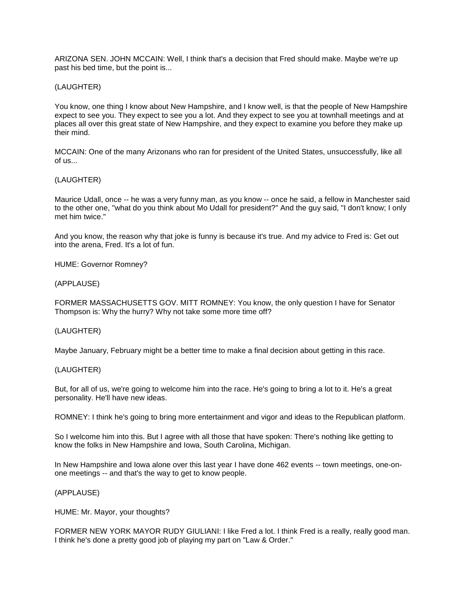ARIZONA SEN. JOHN MCCAIN: Well, I think that's a decision that Fred should make. Maybe we're up past his bed time, but the point is...

# (LAUGHTER)

You know, one thing I know about New Hampshire, and I know well, is that the people of New Hampshire expect to see you. They expect to see you a lot. And they expect to see you at townhall meetings and at places all over this great state of New Hampshire, and they expect to examine you before they make up their mind.

MCCAIN: One of the many Arizonans who ran for president of the United States, unsuccessfully, like all of us...

#### (LAUGHTER)

Maurice Udall, once -- he was a very funny man, as you know -- once he said, a fellow in Manchester said to the other one, "what do you think about Mo Udall for president?" And the guy said, "I don't know; I only met him twice."

And you know, the reason why that joke is funny is because it's true. And my advice to Fred is: Get out into the arena, Fred. It's a lot of fun.

HUME: Governor Romney?

### (APPLAUSE)

FORMER MASSACHUSETTS GOV. MITT ROMNEY: You know, the only question I have for Senator Thompson is: Why the hurry? Why not take some more time off?

### (LAUGHTER)

Maybe January, February might be a better time to make a final decision about getting in this race.

#### (LAUGHTER)

But, for all of us, we're going to welcome him into the race. He's going to bring a lot to it. He's a great personality. He'll have new ideas.

ROMNEY: I think he's going to bring more entertainment and vigor and ideas to the Republican platform.

So I welcome him into this. But I agree with all those that have spoken: There's nothing like getting to know the folks in New Hampshire and Iowa, South Carolina, Michigan.

In New Hampshire and Iowa alone over this last year I have done 462 events -- town meetings, one-onone meetings -- and that's the way to get to know people.

#### (APPLAUSE)

HUME: Mr. Mayor, your thoughts?

FORMER NEW YORK MAYOR RUDY GIULIANI: I like Fred a lot. I think Fred is a really, really good man. I think he's done a pretty good job of playing my part on "Law & Order."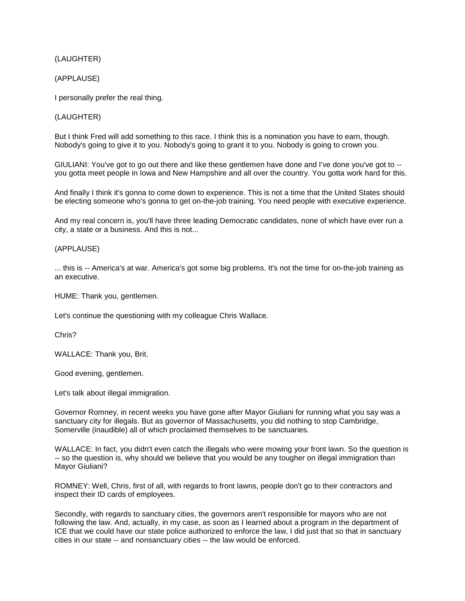(LAUGHTER)

(APPLAUSE)

I personally prefer the real thing.

(LAUGHTER)

But I think Fred will add something to this race. I think this is a nomination you have to earn, though. Nobody's going to give it to you. Nobody's going to grant it to you. Nobody is going to crown you.

GIULIANI: You've got to go out there and like these gentlemen have done and I've done you've got to - you gotta meet people in Iowa and New Hampshire and all over the country. You gotta work hard for this.

And finally I think it's gonna to come down to experience. This is not a time that the United States should be electing someone who's gonna to get on-the-job training. You need people with executive experience.

And my real concern is, you'll have three leading Democratic candidates, none of which have ever run a city, a state or a business. And this is not...

(APPLAUSE)

... this is -- America's at war. America's got some big problems. It's not the time for on-the-job training as an executive.

HUME: Thank you, gentlemen.

Let's continue the questioning with my colleague Chris Wallace.

Chris?

WALLACE: Thank you, Brit.

Good evening, gentlemen.

Let's talk about illegal immigration.

Governor Romney, in recent weeks you have gone after Mayor Giuliani for running what you say was a sanctuary city for illegals. But as governor of Massachusetts, you did nothing to stop Cambridge, Somerville (inaudible) all of which proclaimed themselves to be sanctuaries.

WALLACE: In fact, you didn't even catch the illegals who were mowing your front lawn. So the question is -- so the question is, why should we believe that you would be any tougher on illegal immigration than Mayor Giuliani?

ROMNEY: Well, Chris, first of all, with regards to front lawns, people don't go to their contractors and inspect their ID cards of employees.

Secondly, with regards to sanctuary cities, the governors aren't responsible for mayors who are not following the law. And, actually, in my case, as soon as I learned about a program in the department of ICE that we could have our state police authorized to enforce the law, I did just that so that in sanctuary cities in our state -- and nonsanctuary cities -- the law would be enforced.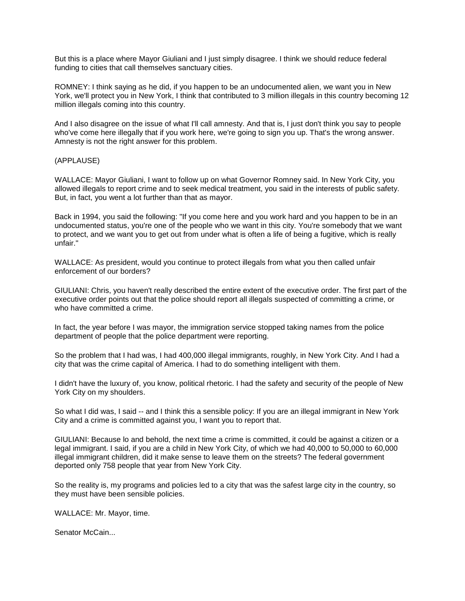But this is a place where Mayor Giuliani and I just simply disagree. I think we should reduce federal funding to cities that call themselves sanctuary cities.

ROMNEY: I think saying as he did, if you happen to be an undocumented alien, we want you in New York, we'll protect you in New York, I think that contributed to 3 million illegals in this country becoming 12 million illegals coming into this country.

And I also disagree on the issue of what I'll call amnesty. And that is, I just don't think you say to people who've come here illegally that if you work here, we're going to sign you up. That's the wrong answer. Amnesty is not the right answer for this problem.

# (APPLAUSE)

WALLACE: Mayor Giuliani, I want to follow up on what Governor Romney said. In New York City, you allowed illegals to report crime and to seek medical treatment, you said in the interests of public safety. But, in fact, you went a lot further than that as mayor.

Back in 1994, you said the following: "If you come here and you work hard and you happen to be in an undocumented status, you're one of the people who we want in this city. You're somebody that we want to protect, and we want you to get out from under what is often a life of being a fugitive, which is really unfair."

WALLACE: As president, would you continue to protect illegals from what you then called unfair enforcement of our borders?

GIULIANI: Chris, you haven't really described the entire extent of the executive order. The first part of the executive order points out that the police should report all illegals suspected of committing a crime, or who have committed a crime.

In fact, the year before I was mayor, the immigration service stopped taking names from the police department of people that the police department were reporting.

So the problem that I had was, I had 400,000 illegal immigrants, roughly, in New York City. And I had a city that was the crime capital of America. I had to do something intelligent with them.

I didn't have the luxury of, you know, political rhetoric. I had the safety and security of the people of New York City on my shoulders.

So what I did was, I said -- and I think this a sensible policy: If you are an illegal immigrant in New York City and a crime is committed against you, I want you to report that.

GIULIANI: Because lo and behold, the next time a crime is committed, it could be against a citizen or a legal immigrant. I said, if you are a child in New York City, of which we had 40,000 to 50,000 to 60,000 illegal immigrant children, did it make sense to leave them on the streets? The federal government deported only 758 people that year from New York City.

So the reality is, my programs and policies led to a city that was the safest large city in the country, so they must have been sensible policies.

WALLACE: Mr. Mayor, time.

Senator McCain...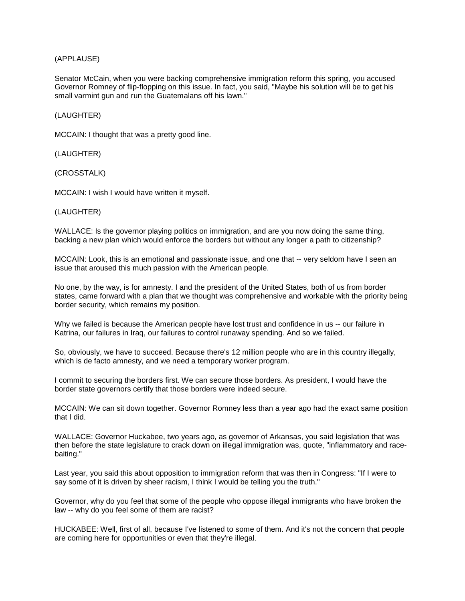# (APPLAUSE)

Senator McCain, when you were backing comprehensive immigration reform this spring, you accused Governor Romney of flip-flopping on this issue. In fact, you said, "Maybe his solution will be to get his small varmint gun and run the Guatemalans off his lawn."

# (LAUGHTER)

MCCAIN: I thought that was a pretty good line.

(LAUGHTER)

(CROSSTALK)

MCCAIN: I wish I would have written it myself.

# (LAUGHTER)

WALLACE: Is the governor playing politics on immigration, and are you now doing the same thing, backing a new plan which would enforce the borders but without any longer a path to citizenship?

MCCAIN: Look, this is an emotional and passionate issue, and one that -- very seldom have I seen an issue that aroused this much passion with the American people.

No one, by the way, is for amnesty. I and the president of the United States, both of us from border states, came forward with a plan that we thought was comprehensive and workable with the priority being border security, which remains my position.

Why we failed is because the American people have lost trust and confidence in us -- our failure in Katrina, our failures in Iraq, our failures to control runaway spending. And so we failed.

So, obviously, we have to succeed. Because there's 12 million people who are in this country illegally, which is de facto amnesty, and we need a temporary worker program.

I commit to securing the borders first. We can secure those borders. As president, I would have the border state governors certify that those borders were indeed secure.

MCCAIN: We can sit down together. Governor Romney less than a year ago had the exact same position that I did.

WALLACE: Governor Huckabee, two years ago, as governor of Arkansas, you said legislation that was then before the state legislature to crack down on illegal immigration was, quote, "inflammatory and racebaiting."

Last year, you said this about opposition to immigration reform that was then in Congress: "If I were to say some of it is driven by sheer racism, I think I would be telling you the truth."

Governor, why do you feel that some of the people who oppose illegal immigrants who have broken the law -- why do you feel some of them are racist?

HUCKABEE: Well, first of all, because I've listened to some of them. And it's not the concern that people are coming here for opportunities or even that they're illegal.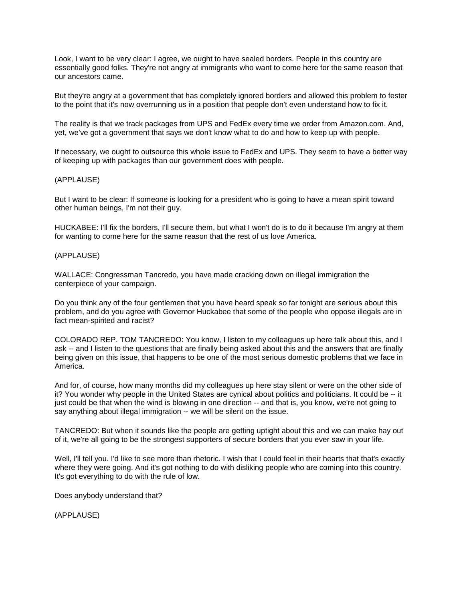Look, I want to be very clear: I agree, we ought to have sealed borders. People in this country are essentially good folks. They're not angry at immigrants who want to come here for the same reason that our ancestors came.

But they're angry at a government that has completely ignored borders and allowed this problem to fester to the point that it's now overrunning us in a position that people don't even understand how to fix it.

The reality is that we track packages from UPS and FedEx every time we order from Amazon.com. And, yet, we've got a government that says we don't know what to do and how to keep up with people.

If necessary, we ought to outsource this whole issue to FedEx and UPS. They seem to have a better way of keeping up with packages than our government does with people.

#### (APPLAUSE)

But I want to be clear: If someone is looking for a president who is going to have a mean spirit toward other human beings, I'm not their guy.

HUCKABEE: I'll fix the borders, I'll secure them, but what I won't do is to do it because I'm angry at them for wanting to come here for the same reason that the rest of us love America.

#### (APPLAUSE)

WALLACE: Congressman Tancredo, you have made cracking down on illegal immigration the centerpiece of your campaign.

Do you think any of the four gentlemen that you have heard speak so far tonight are serious about this problem, and do you agree with Governor Huckabee that some of the people who oppose illegals are in fact mean-spirited and racist?

COLORADO REP. TOM TANCREDO: You know, I listen to my colleagues up here talk about this, and I ask -- and I listen to the questions that are finally being asked about this and the answers that are finally being given on this issue, that happens to be one of the most serious domestic problems that we face in America.

And for, of course, how many months did my colleagues up here stay silent or were on the other side of it? You wonder why people in the United States are cynical about politics and politicians. It could be -- it just could be that when the wind is blowing in one direction -- and that is, you know, we're not going to say anything about illegal immigration -- we will be silent on the issue.

TANCREDO: But when it sounds like the people are getting uptight about this and we can make hay out of it, we're all going to be the strongest supporters of secure borders that you ever saw in your life.

Well, I'll tell you. I'd like to see more than rhetoric. I wish that I could feel in their hearts that that's exactly where they were going. And it's got nothing to do with disliking people who are coming into this country. It's got everything to do with the rule of low.

Does anybody understand that?

(APPLAUSE)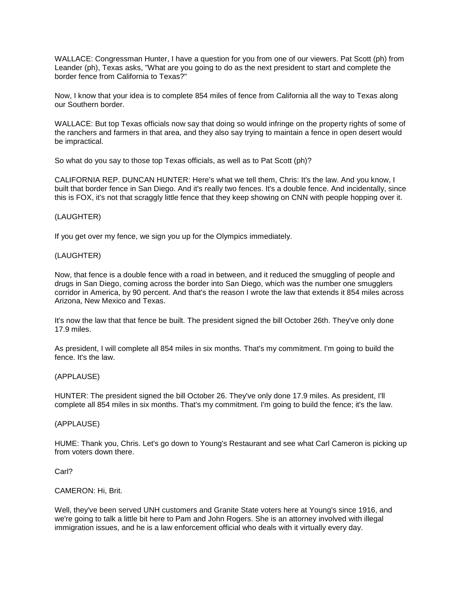WALLACE: Congressman Hunter, I have a question for you from one of our viewers. Pat Scott (ph) from Leander (ph), Texas asks, "What are you going to do as the next president to start and complete the border fence from California to Texas?"

Now, I know that your idea is to complete 854 miles of fence from California all the way to Texas along our Southern border.

WALLACE: But top Texas officials now say that doing so would infringe on the property rights of some of the ranchers and farmers in that area, and they also say trying to maintain a fence in open desert would be impractical.

So what do you say to those top Texas officials, as well as to Pat Scott (ph)?

CALIFORNIA REP. DUNCAN HUNTER: Here's what we tell them, Chris: It's the law. And you know, I built that border fence in San Diego. And it's really two fences. It's a double fence. And incidentally, since this is FOX, it's not that scraggly little fence that they keep showing on CNN with people hopping over it.

# (LAUGHTER)

If you get over my fence, we sign you up for the Olympics immediately.

### (LAUGHTER)

Now, that fence is a double fence with a road in between, and it reduced the smuggling of people and drugs in San Diego, coming across the border into San Diego, which was the number one smugglers corridor in America, by 90 percent. And that's the reason I wrote the law that extends it 854 miles across Arizona, New Mexico and Texas.

It's now the law that that fence be built. The president signed the bill October 26th. They've only done 17.9 miles.

As president, I will complete all 854 miles in six months. That's my commitment. I'm going to build the fence. It's the law.

#### (APPLAUSE)

HUNTER: The president signed the bill October 26. They've only done 17.9 miles. As president, I'll complete all 854 miles in six months. That's my commitment. I'm going to build the fence; it's the law.

#### (APPLAUSE)

HUME: Thank you, Chris. Let's go down to Young's Restaurant and see what Carl Cameron is picking up from voters down there.

### Carl?

#### CAMERON: Hi, Brit.

Well, they've been served UNH customers and Granite State voters here at Young's since 1916, and we're going to talk a little bit here to Pam and John Rogers. She is an attorney involved with illegal immigration issues, and he is a law enforcement official who deals with it virtually every day.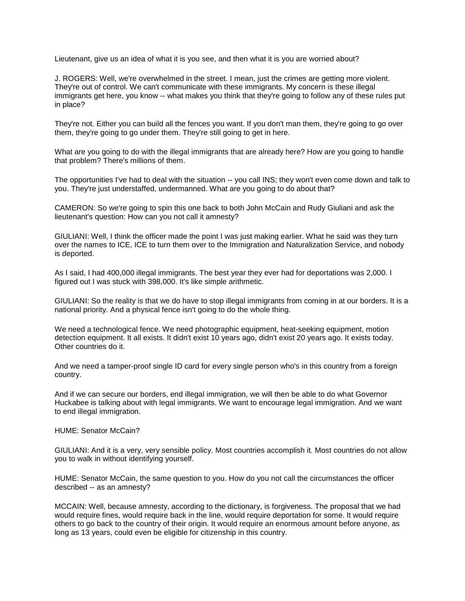Lieutenant, give us an idea of what it is you see, and then what it is you are worried about?

J. ROGERS: Well, we're overwhelmed in the street. I mean, just the crimes are getting more violent. They're out of control. We can't communicate with these immigrants. My concern is these illegal immigrants get here, you know -- what makes you think that they're going to follow any of these rules put in place?

They're not. Either you can build all the fences you want. If you don't man them, they're going to go over them, they're going to go under them. They're still going to get in here.

What are you going to do with the illegal immigrants that are already here? How are you going to handle that problem? There's millions of them.

The opportunities I've had to deal with the situation -- you call INS; they won't even come down and talk to you. They're just understaffed, undermanned. What are you going to do about that?

CAMERON: So we're going to spin this one back to both John McCain and Rudy Giuliani and ask the lieutenant's question: How can you not call it amnesty?

GIULIANI: Well, I think the officer made the point I was just making earlier. What he said was they turn over the names to ICE, ICE to turn them over to the Immigration and Naturalization Service, and nobody is deported.

As I said, I had 400,000 illegal immigrants. The best year they ever had for deportations was 2,000. I figured out I was stuck with 398,000. It's like simple arithmetic.

GIULIANI: So the reality is that we do have to stop illegal immigrants from coming in at our borders. It is a national priority. And a physical fence isn't going to do the whole thing.

We need a technological fence. We need photographic equipment, heat-seeking equipment, motion detection equipment. It all exists. It didn't exist 10 years ago, didn't exist 20 years ago. It exists today. Other countries do it.

And we need a tamper-proof single ID card for every single person who's in this country from a foreign country.

And if we can secure our borders, end illegal immigration, we will then be able to do what Governor Huckabee is talking about with legal immigrants. We want to encourage legal immigration. And we want to end illegal immigration.

HUME: Senator McCain?

GIULIANI: And it is a very, very sensible policy. Most countries accomplish it. Most countries do not allow you to walk in without identifying yourself.

HUME: Senator McCain, the same question to you. How do you not call the circumstances the officer described -- as an amnesty?

MCCAIN: Well, because amnesty, according to the dictionary, is forgiveness. The proposal that we had would require fines, would require back in the line, would require deportation for some. It would require others to go back to the country of their origin. It would require an enormous amount before anyone, as long as 13 years, could even be eligible for citizenship in this country.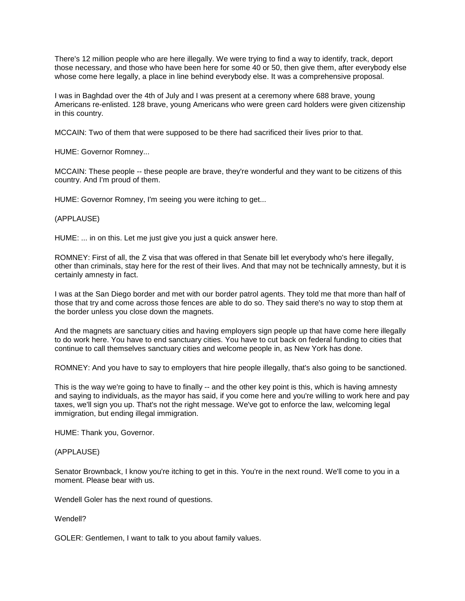There's 12 million people who are here illegally. We were trying to find a way to identify, track, deport those necessary, and those who have been here for some 40 or 50, then give them, after everybody else whose come here legally, a place in line behind everybody else. It was a comprehensive proposal.

I was in Baghdad over the 4th of July and I was present at a ceremony where 688 brave, young Americans re-enlisted. 128 brave, young Americans who were green card holders were given citizenship in this country.

MCCAIN: Two of them that were supposed to be there had sacrificed their lives prior to that.

HUME: Governor Romney...

MCCAIN: These people -- these people are brave, they're wonderful and they want to be citizens of this country. And I'm proud of them.

HUME: Governor Romney, I'm seeing you were itching to get...

### (APPLAUSE)

HUME: ... in on this. Let me just give you just a quick answer here.

ROMNEY: First of all, the Z visa that was offered in that Senate bill let everybody who's here illegally, other than criminals, stay here for the rest of their lives. And that may not be technically amnesty, but it is certainly amnesty in fact.

I was at the San Diego border and met with our border patrol agents. They told me that more than half of those that try and come across those fences are able to do so. They said there's no way to stop them at the border unless you close down the magnets.

And the magnets are sanctuary cities and having employers sign people up that have come here illegally to do work here. You have to end sanctuary cities. You have to cut back on federal funding to cities that continue to call themselves sanctuary cities and welcome people in, as New York has done.

ROMNEY: And you have to say to employers that hire people illegally, that's also going to be sanctioned.

This is the way we're going to have to finally -- and the other key point is this, which is having amnesty and saying to individuals, as the mayor has said, if you come here and you're willing to work here and pay taxes, we'll sign you up. That's not the right message. We've got to enforce the law, welcoming legal immigration, but ending illegal immigration.

HUME: Thank you, Governor.

#### (APPLAUSE)

Senator Brownback, I know you're itching to get in this. You're in the next round. We'll come to you in a moment. Please bear with us.

Wendell Goler has the next round of questions.

Wendell?

GOLER: Gentlemen, I want to talk to you about family values.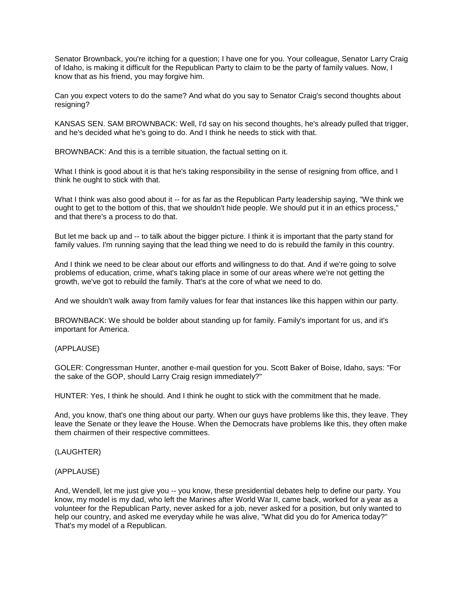Senator Brownback, you're itching for a question; I have one for you. Your colleague, Senator Larry Craig of Idaho, is making it difficult for the Republican Party to claim to be the party of family values. Now, I know that as his friend, you may forgive him.

Can you expect voters to do the same? And what do you say to Senator Craig's second thoughts about resigning?

KANSAS SEN. SAM BROWNBACK: Well, I'd say on his second thoughts, he's already pulled that trigger, and he's decided what he's going to do. And I think he needs to stick with that.

BROWNBACK: And this is a terrible situation, the factual setting on it.

What I think is good about it is that he's taking responsibility in the sense of resigning from office, and I think he ought to stick with that.

What I think was also good about it -- for as far as the Republican Party leadership saying, "We think we ought to get to the bottom of this, that we shouldn't hide people. We should put it in an ethics process," and that there's a process to do that.

But let me back up and -- to talk about the bigger picture. I think it is important that the party stand for family values. I'm running saying that the lead thing we need to do is rebuild the family in this country.

And I think we need to be clear about our efforts and willingness to do that. And if we're going to solve problems of education, crime, what's taking place in some of our areas where we're not getting the growth, we've got to rebuild the family. That's at the core of what we need to do.

And we shouldn't walk away from family values for fear that instances like this happen within our party.

BROWNBACK: We should be bolder about standing up for family. Family's important for us, and it's important for America.

#### (APPLAUSE)

GOLER: Congressman Hunter, another e-mail question for you. Scott Baker of Boise, Idaho, says: "For the sake of the GOP, should Larry Craig resign immediately?"

HUNTER: Yes, I think he should. And I think he ought to stick with the commitment that he made.

And, you know, that's one thing about our party. When our guys have problems like this, they leave. They leave the Senate or they leave the House. When the Democrats have problems like this, they often make them chairmen of their respective committees.

#### (LAUGHTER)

# (APPLAUSE)

And, Wendell, let me just give you -- you know, these presidential debates help to define our party. You know, my model is my dad, who left the Marines after World War II, came back, worked for a year as a volunteer for the Republican Party, never asked for a job, never asked for a position, but only wanted to help our country, and asked me everyday while he was alive, "What did you do for America today?" That's my model of a Republican.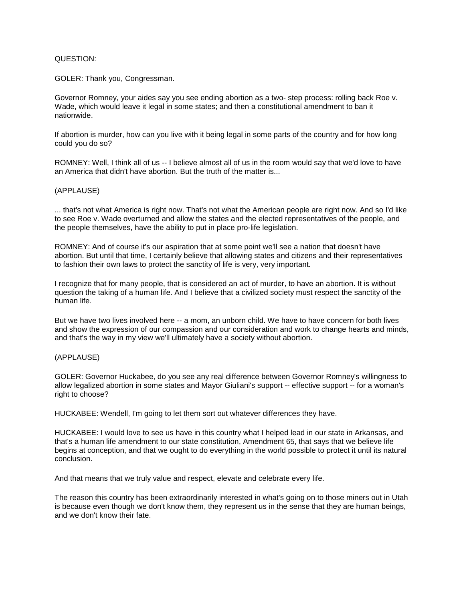# QUESTION:

GOLER: Thank you, Congressman.

Governor Romney, your aides say you see ending abortion as a two- step process: rolling back Roe v. Wade, which would leave it legal in some states; and then a constitutional amendment to ban it nationwide.

If abortion is murder, how can you live with it being legal in some parts of the country and for how long could you do so?

ROMNEY: Well, I think all of us -- I believe almost all of us in the room would say that we'd love to have an America that didn't have abortion. But the truth of the matter is...

# (APPLAUSE)

... that's not what America is right now. That's not what the American people are right now. And so I'd like to see Roe v. Wade overturned and allow the states and the elected representatives of the people, and the people themselves, have the ability to put in place pro-life legislation.

ROMNEY: And of course it's our aspiration that at some point we'll see a nation that doesn't have abortion. But until that time, I certainly believe that allowing states and citizens and their representatives to fashion their own laws to protect the sanctity of life is very, very important.

I recognize that for many people, that is considered an act of murder, to have an abortion. It is without question the taking of a human life. And I believe that a civilized society must respect the sanctity of the human life.

But we have two lives involved here -- a mom, an unborn child. We have to have concern for both lives and show the expression of our compassion and our consideration and work to change hearts and minds, and that's the way in my view we'll ultimately have a society without abortion.

# (APPLAUSE)

GOLER: Governor Huckabee, do you see any real difference between Governor Romney's willingness to allow legalized abortion in some states and Mayor Giuliani's support -- effective support -- for a woman's right to choose?

HUCKABEE: Wendell, I'm going to let them sort out whatever differences they have.

HUCKABEE: I would love to see us have in this country what I helped lead in our state in Arkansas, and that's a human life amendment to our state constitution, Amendment 65, that says that we believe life begins at conception, and that we ought to do everything in the world possible to protect it until its natural conclusion.

And that means that we truly value and respect, elevate and celebrate every life.

The reason this country has been extraordinarily interested in what's going on to those miners out in Utah is because even though we don't know them, they represent us in the sense that they are human beings, and we don't know their fate.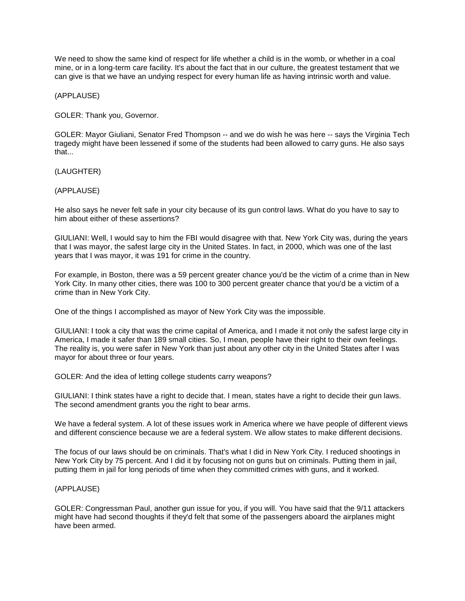We need to show the same kind of respect for life whether a child is in the womb, or whether in a coal mine, or in a long-term care facility. It's about the fact that in our culture, the greatest testament that we can give is that we have an undying respect for every human life as having intrinsic worth and value.

(APPLAUSE)

GOLER: Thank you, Governor.

GOLER: Mayor Giuliani, Senator Fred Thompson -- and we do wish he was here -- says the Virginia Tech tragedy might have been lessened if some of the students had been allowed to carry guns. He also says that...

(LAUGHTER)

(APPLAUSE)

He also says he never felt safe in your city because of its gun control laws. What do you have to say to him about either of these assertions?

GIULIANI: Well, I would say to him the FBI would disagree with that. New York City was, during the years that I was mayor, the safest large city in the United States. In fact, in 2000, which was one of the last years that I was mayor, it was 191 for crime in the country.

For example, in Boston, there was a 59 percent greater chance you'd be the victim of a crime than in New York City. In many other cities, there was 100 to 300 percent greater chance that you'd be a victim of a crime than in New York City.

One of the things I accomplished as mayor of New York City was the impossible.

GIULIANI: I took a city that was the crime capital of America, and I made it not only the safest large city in America, I made it safer than 189 small cities. So, I mean, people have their right to their own feelings. The reality is, you were safer in New York than just about any other city in the United States after I was mayor for about three or four years.

GOLER: And the idea of letting college students carry weapons?

GIULIANI: I think states have a right to decide that. I mean, states have a right to decide their gun laws. The second amendment grants you the right to bear arms.

We have a federal system. A lot of these issues work in America where we have people of different views and different conscience because we are a federal system. We allow states to make different decisions.

The focus of our laws should be on criminals. That's what I did in New York City. I reduced shootings in New York City by 75 percent. And I did it by focusing not on guns but on criminals. Putting them in jail, putting them in jail for long periods of time when they committed crimes with guns, and it worked.

# (APPLAUSE)

GOLER: Congressman Paul, another gun issue for you, if you will. You have said that the 9/11 attackers might have had second thoughts if they'd felt that some of the passengers aboard the airplanes might have been armed.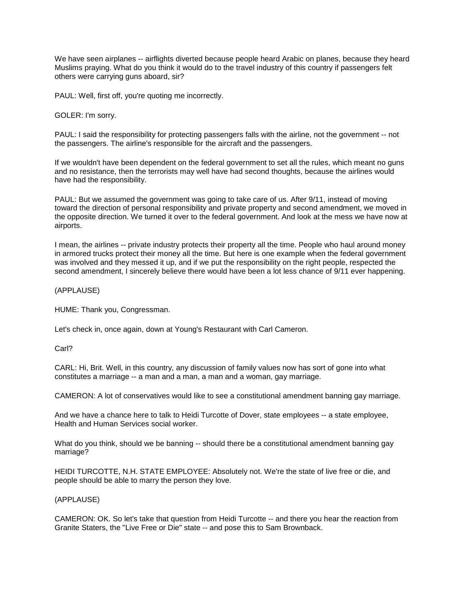We have seen airplanes -- airflights diverted because people heard Arabic on planes, because they heard Muslims praying. What do you think it would do to the travel industry of this country if passengers felt others were carrying guns aboard, sir?

PAUL: Well, first off, you're quoting me incorrectly.

GOLER: I'm sorry.

PAUL: I said the responsibility for protecting passengers falls with the airline, not the government -- not the passengers. The airline's responsible for the aircraft and the passengers.

If we wouldn't have been dependent on the federal government to set all the rules, which meant no guns and no resistance, then the terrorists may well have had second thoughts, because the airlines would have had the responsibility.

PAUL: But we assumed the government was going to take care of us. After 9/11, instead of moving toward the direction of personal responsibility and private property and second amendment, we moved in the opposite direction. We turned it over to the federal government. And look at the mess we have now at airports.

I mean, the airlines -- private industry protects their property all the time. People who haul around money in armored trucks protect their money all the time. But here is one example when the federal government was involved and they messed it up, and if we put the responsibility on the right people, respected the second amendment, I sincerely believe there would have been a lot less chance of 9/11 ever happening.

(APPLAUSE)

HUME: Thank you, Congressman.

Let's check in, once again, down at Young's Restaurant with Carl Cameron.

Carl?

CARL: Hi, Brit. Well, in this country, any discussion of family values now has sort of gone into what constitutes a marriage -- a man and a man, a man and a woman, gay marriage.

CAMERON: A lot of conservatives would like to see a constitutional amendment banning gay marriage.

And we have a chance here to talk to Heidi Turcotte of Dover, state employees -- a state employee, Health and Human Services social worker.

What do you think, should we be banning -- should there be a constitutional amendment banning gay marriage?

HEIDI TURCOTTE, N.H. STATE EMPLOYEE: Absolutely not. We're the state of live free or die, and people should be able to marry the person they love.

(APPLAUSE)

CAMERON: OK. So let's take that question from Heidi Turcotte -- and there you hear the reaction from Granite Staters, the "Live Free or Die" state -- and pose this to Sam Brownback.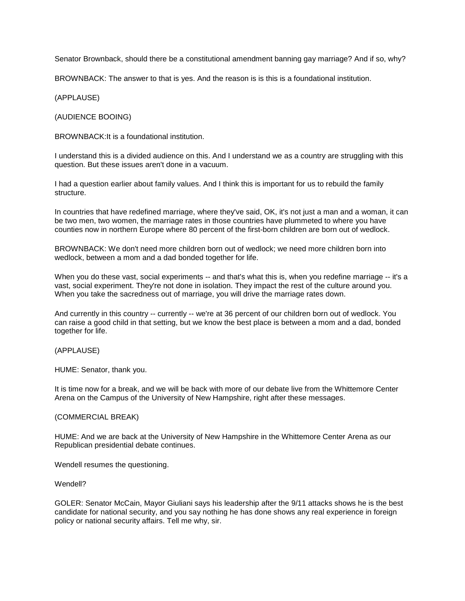Senator Brownback, should there be a constitutional amendment banning gay marriage? And if so, why?

BROWNBACK: The answer to that is yes. And the reason is is this is a foundational institution.

# (APPLAUSE)

(AUDIENCE BOOING)

BROWNBACK:It is a foundational institution.

I understand this is a divided audience on this. And I understand we as a country are struggling with this question. But these issues aren't done in a vacuum.

I had a question earlier about family values. And I think this is important for us to rebuild the family structure.

In countries that have redefined marriage, where they've said, OK, it's not just a man and a woman, it can be two men, two women, the marriage rates in those countries have plummeted to where you have counties now in northern Europe where 80 percent of the first-born children are born out of wedlock.

BROWNBACK: We don't need more children born out of wedlock; we need more children born into wedlock, between a mom and a dad bonded together for life.

When you do these vast, social experiments -- and that's what this is, when you redefine marriage -- it's a vast, social experiment. They're not done in isolation. They impact the rest of the culture around you. When you take the sacredness out of marriage, you will drive the marriage rates down.

And currently in this country -- currently -- we're at 36 percent of our children born out of wedlock. You can raise a good child in that setting, but we know the best place is between a mom and a dad, bonded together for life.

(APPLAUSE)

HUME: Senator, thank you.

It is time now for a break, and we will be back with more of our debate live from the Whittemore Center Arena on the Campus of the University of New Hampshire, right after these messages.

# (COMMERCIAL BREAK)

HUME: And we are back at the University of New Hampshire in the Whittemore Center Arena as our Republican presidential debate continues.

Wendell resumes the questioning.

# Wendell?

GOLER: Senator McCain, Mayor Giuliani says his leadership after the 9/11 attacks shows he is the best candidate for national security, and you say nothing he has done shows any real experience in foreign policy or national security affairs. Tell me why, sir.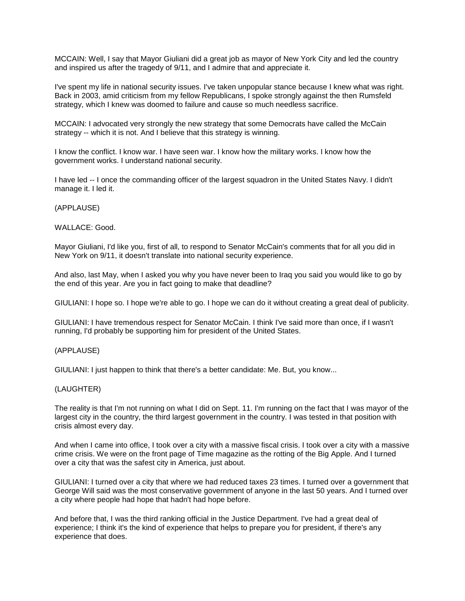MCCAIN: Well, I say that Mayor Giuliani did a great job as mayor of New York City and led the country and inspired us after the tragedy of 9/11, and I admire that and appreciate it.

I've spent my life in national security issues. I've taken unpopular stance because I knew what was right. Back in 2003, amid criticism from my fellow Republicans, I spoke strongly against the then Rumsfeld strategy, which I knew was doomed to failure and cause so much needless sacrifice.

MCCAIN: I advocated very strongly the new strategy that some Democrats have called the McCain strategy -- which it is not. And I believe that this strategy is winning.

I know the conflict. I know war. I have seen war. I know how the military works. I know how the government works. I understand national security.

I have led -- I once the commanding officer of the largest squadron in the United States Navy. I didn't manage it. I led it.

(APPLAUSE)

WALLACE: Good.

Mayor Giuliani, I'd like you, first of all, to respond to Senator McCain's comments that for all you did in New York on 9/11, it doesn't translate into national security experience.

And also, last May, when I asked you why you have never been to Iraq you said you would like to go by the end of this year. Are you in fact going to make that deadline?

GIULIANI: I hope so. I hope we're able to go. I hope we can do it without creating a great deal of publicity.

GIULIANI: I have tremendous respect for Senator McCain. I think I've said more than once, if I wasn't running, I'd probably be supporting him for president of the United States.

#### (APPLAUSE)

GIULIANI: I just happen to think that there's a better candidate: Me. But, you know...

# (LAUGHTER)

The reality is that I'm not running on what I did on Sept. 11. I'm running on the fact that I was mayor of the largest city in the country, the third largest government in the country. I was tested in that position with crisis almost every day.

And when I came into office, I took over a city with a massive fiscal crisis. I took over a city with a massive crime crisis. We were on the front page of Time magazine as the rotting of the Big Apple. And I turned over a city that was the safest city in America, just about.

GIULIANI: I turned over a city that where we had reduced taxes 23 times. I turned over a government that George Will said was the most conservative government of anyone in the last 50 years. And I turned over a city where people had hope that hadn't had hope before.

And before that, I was the third ranking official in the Justice Department. I've had a great deal of experience; I think it's the kind of experience that helps to prepare you for president, if there's any experience that does.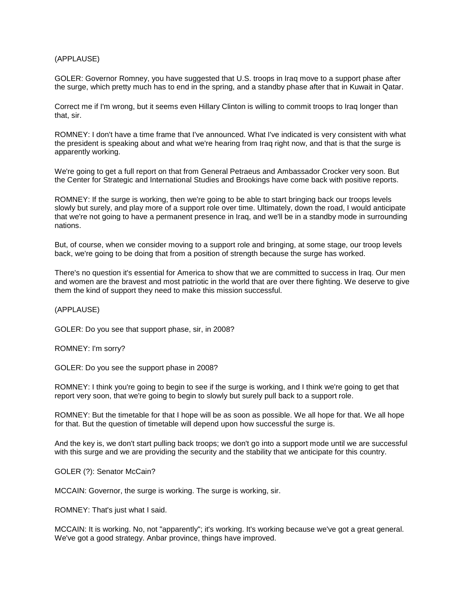### (APPLAUSE)

GOLER: Governor Romney, you have suggested that U.S. troops in Iraq move to a support phase after the surge, which pretty much has to end in the spring, and a standby phase after that in Kuwait in Qatar.

Correct me if I'm wrong, but it seems even Hillary Clinton is willing to commit troops to Iraq longer than that, sir.

ROMNEY: I don't have a time frame that I've announced. What I've indicated is very consistent with what the president is speaking about and what we're hearing from Iraq right now, and that is that the surge is apparently working.

We're going to get a full report on that from General Petraeus and Ambassador Crocker very soon. But the Center for Strategic and International Studies and Brookings have come back with positive reports.

ROMNEY: If the surge is working, then we're going to be able to start bringing back our troops levels slowly but surely, and play more of a support role over time. Ultimately, down the road, I would anticipate that we're not going to have a permanent presence in Iraq, and we'll be in a standby mode in surrounding nations.

But, of course, when we consider moving to a support role and bringing, at some stage, our troop levels back, we're going to be doing that from a position of strength because the surge has worked.

There's no question it's essential for America to show that we are committed to success in Iraq. Our men and women are the bravest and most patriotic in the world that are over there fighting. We deserve to give them the kind of support they need to make this mission successful.

(APPLAUSE)

GOLER: Do you see that support phase, sir, in 2008?

ROMNEY: I'm sorry?

GOLER: Do you see the support phase in 2008?

ROMNEY: I think you're going to begin to see if the surge is working, and I think we're going to get that report very soon, that we're going to begin to slowly but surely pull back to a support role.

ROMNEY: But the timetable for that I hope will be as soon as possible. We all hope for that. We all hope for that. But the question of timetable will depend upon how successful the surge is.

And the key is, we don't start pulling back troops; we don't go into a support mode until we are successful with this surge and we are providing the security and the stability that we anticipate for this country.

GOLER (?): Senator McCain?

MCCAIN: Governor, the surge is working. The surge is working, sir.

ROMNEY: That's just what I said.

MCCAIN: It is working. No, not "apparently"; it's working. It's working because we've got a great general. We've got a good strategy. Anbar province, things have improved.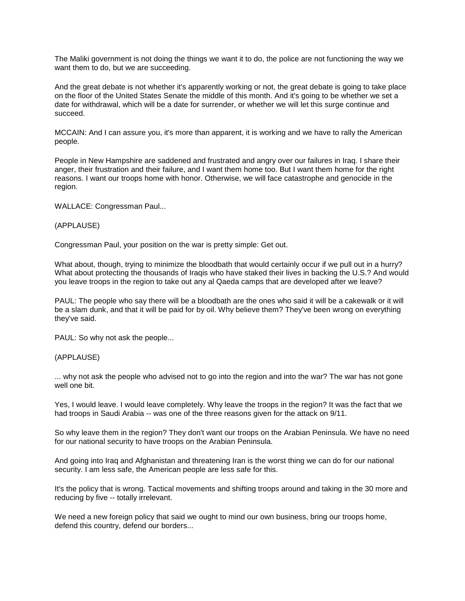The Maliki government is not doing the things we want it to do, the police are not functioning the way we want them to do, but we are succeeding.

And the great debate is not whether it's apparently working or not, the great debate is going to take place on the floor of the United States Senate the middle of this month. And it's going to be whether we set a date for withdrawal, which will be a date for surrender, or whether we will let this surge continue and succeed.

MCCAIN: And I can assure you, it's more than apparent, it is working and we have to rally the American people.

People in New Hampshire are saddened and frustrated and angry over our failures in Iraq. I share their anger, their frustration and their failure, and I want them home too. But I want them home for the right reasons. I want our troops home with honor. Otherwise, we will face catastrophe and genocide in the region.

WALLACE: Congressman Paul...

### (APPLAUSE)

Congressman Paul, your position on the war is pretty simple: Get out.

What about, though, trying to minimize the bloodbath that would certainly occur if we pull out in a hurry? What about protecting the thousands of Iraqis who have staked their lives in backing the U.S.? And would you leave troops in the region to take out any al Qaeda camps that are developed after we leave?

PAUL: The people who say there will be a bloodbath are the ones who said it will be a cakewalk or it will be a slam dunk, and that it will be paid for by oil. Why believe them? They've been wrong on everything they've said.

PAUL: So why not ask the people...

# (APPLAUSE)

... why not ask the people who advised not to go into the region and into the war? The war has not gone well one bit.

Yes, I would leave. I would leave completely. Why leave the troops in the region? It was the fact that we had troops in Saudi Arabia -- was one of the three reasons given for the attack on 9/11.

So why leave them in the region? They don't want our troops on the Arabian Peninsula. We have no need for our national security to have troops on the Arabian Peninsula.

And going into Iraq and Afghanistan and threatening Iran is the worst thing we can do for our national security. I am less safe, the American people are less safe for this.

It's the policy that is wrong. Tactical movements and shifting troops around and taking in the 30 more and reducing by five -- totally irrelevant.

We need a new foreign policy that said we ought to mind our own business, bring our troops home, defend this country, defend our borders...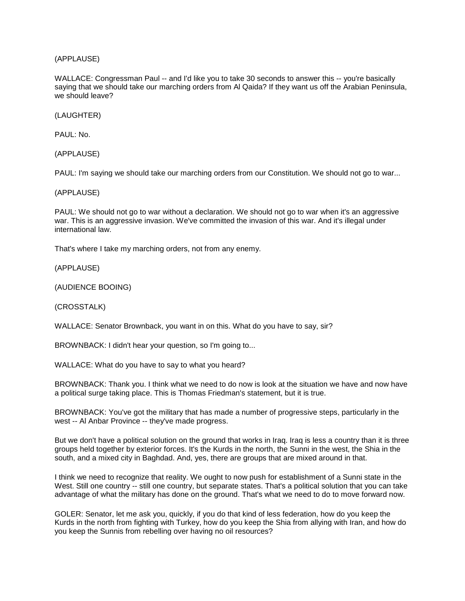(APPLAUSE)

WALLACE: Congressman Paul -- and I'd like you to take 30 seconds to answer this -- you're basically saying that we should take our marching orders from Al Qaida? If they want us off the Arabian Peninsula, we should leave?

(LAUGHTER)

PAUL: No.

(APPLAUSE)

PAUL: I'm saying we should take our marching orders from our Constitution. We should not go to war...

(APPLAUSE)

PAUL: We should not go to war without a declaration. We should not go to war when it's an aggressive war. This is an aggressive invasion. We've committed the invasion of this war. And it's illegal under international law.

That's where I take my marching orders, not from any enemy.

(APPLAUSE)

(AUDIENCE BOOING)

(CROSSTALK)

WALLACE: Senator Brownback, you want in on this. What do you have to say, sir?

BROWNBACK: I didn't hear your question, so I'm going to...

WALLACE: What do you have to say to what you heard?

BROWNBACK: Thank you. I think what we need to do now is look at the situation we have and now have a political surge taking place. This is Thomas Friedman's statement, but it is true.

BROWNBACK: You've got the military that has made a number of progressive steps, particularly in the west -- Al Anbar Province -- they've made progress.

But we don't have a political solution on the ground that works in Iraq. Iraq is less a country than it is three groups held together by exterior forces. It's the Kurds in the north, the Sunni in the west, the Shia in the south, and a mixed city in Baghdad. And, yes, there are groups that are mixed around in that.

I think we need to recognize that reality. We ought to now push for establishment of a Sunni state in the West. Still one country -- still one country, but separate states. That's a political solution that you can take advantage of what the military has done on the ground. That's what we need to do to move forward now.

GOLER: Senator, let me ask you, quickly, if you do that kind of less federation, how do you keep the Kurds in the north from fighting with Turkey, how do you keep the Shia from allying with Iran, and how do you keep the Sunnis from rebelling over having no oil resources?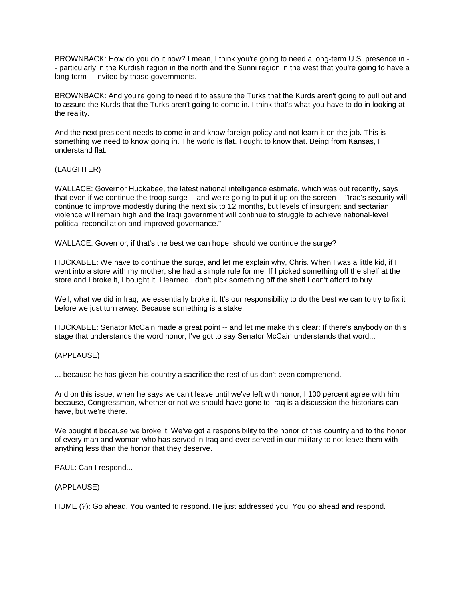BROWNBACK: How do you do it now? I mean, I think you're going to need a long-term U.S. presence in - - particularly in the Kurdish region in the north and the Sunni region in the west that you're going to have a long-term -- invited by those governments.

BROWNBACK: And you're going to need it to assure the Turks that the Kurds aren't going to pull out and to assure the Kurds that the Turks aren't going to come in. I think that's what you have to do in looking at the reality.

And the next president needs to come in and know foreign policy and not learn it on the job. This is something we need to know going in. The world is flat. I ought to know that. Being from Kansas, I understand flat.

# (LAUGHTER)

WALLACE: Governor Huckabee, the latest national intelligence estimate, which was out recently, says that even if we continue the troop surge -- and we're going to put it up on the screen -- "Iraq's security will continue to improve modestly during the next six to 12 months, but levels of insurgent and sectarian violence will remain high and the Iraqi government will continue to struggle to achieve national-level political reconciliation and improved governance."

WALLACE: Governor, if that's the best we can hope, should we continue the surge?

HUCKABEE: We have to continue the surge, and let me explain why, Chris. When I was a little kid, if I went into a store with my mother, she had a simple rule for me: If I picked something off the shelf at the store and I broke it, I bought it. I learned I don't pick something off the shelf I can't afford to buy.

Well, what we did in Iraq, we essentially broke it. It's our responsibility to do the best we can to try to fix it before we just turn away. Because something is a stake.

HUCKABEE: Senator McCain made a great point -- and let me make this clear: If there's anybody on this stage that understands the word honor, I've got to say Senator McCain understands that word...

# (APPLAUSE)

... because he has given his country a sacrifice the rest of us don't even comprehend.

And on this issue, when he says we can't leave until we've left with honor, I 100 percent agree with him because, Congressman, whether or not we should have gone to Iraq is a discussion the historians can have, but we're there.

We bought it because we broke it. We've got a responsibility to the honor of this country and to the honor of every man and woman who has served in Iraq and ever served in our military to not leave them with anything less than the honor that they deserve.

PAUL: Can I respond...

# (APPLAUSE)

HUME (?): Go ahead. You wanted to respond. He just addressed you. You go ahead and respond.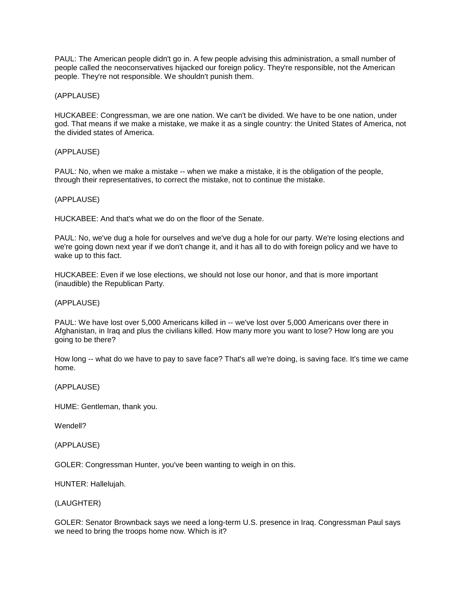PAUL: The American people didn't go in. A few people advising this administration, a small number of people called the neoconservatives hijacked our foreign policy. They're responsible, not the American people. They're not responsible. We shouldn't punish them.

# (APPLAUSE)

HUCKABEE: Congressman, we are one nation. We can't be divided. We have to be one nation, under god. That means if we make a mistake, we make it as a single country: the United States of America, not the divided states of America.

# (APPLAUSE)

PAUL: No, when we make a mistake -- when we make a mistake, it is the obligation of the people, through their representatives, to correct the mistake, not to continue the mistake.

### (APPLAUSE)

HUCKABEE: And that's what we do on the floor of the Senate.

PAUL: No, we've dug a hole for ourselves and we've dug a hole for our party. We're losing elections and we're going down next year if we don't change it, and it has all to do with foreign policy and we have to wake up to this fact.

HUCKABEE: Even if we lose elections, we should not lose our honor, and that is more important (inaudible) the Republican Party.

### (APPLAUSE)

PAUL: We have lost over 5,000 Americans killed in -- we've lost over 5,000 Americans over there in Afghanistan, in Iraq and plus the civilians killed. How many more you want to lose? How long are you going to be there?

How long -- what do we have to pay to save face? That's all we're doing, is saving face. It's time we came home.

# (APPLAUSE)

HUME: Gentleman, thank you.

Wendell?

(APPLAUSE)

GOLER: Congressman Hunter, you've been wanting to weigh in on this.

HUNTER: Hallelujah.

# (LAUGHTER)

GOLER: Senator Brownback says we need a long-term U.S. presence in Iraq. Congressman Paul says we need to bring the troops home now. Which is it?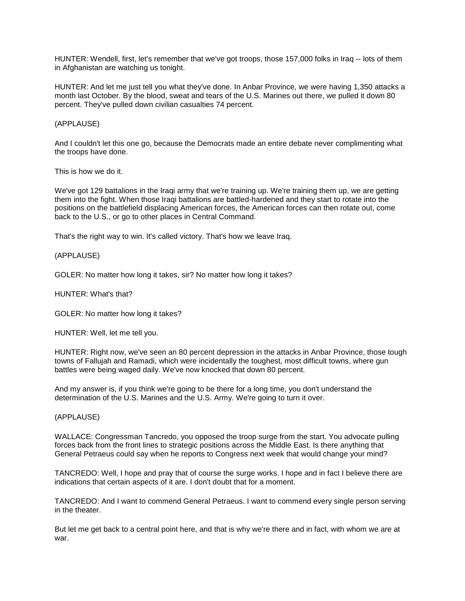HUNTER: Wendell, first, let's remember that we've got troops, those 157,000 folks in Iraq -- lots of them in Afghanistan are watching us tonight.

HUNTER: And let me just tell you what they've done. In Anbar Province, we were having 1,350 attacks a month last October. By the blood, sweat and tears of the U.S. Marines out there, we pulled it down 80 percent. They've pulled down civilian casualties 74 percent.

(APPLAUSE)

And I couldn't let this one go, because the Democrats made an entire debate never complimenting what the troops have done.

This is how we do it.

We've got 129 battalions in the Iraqi army that we're training up. We're training them up, we are getting them into the fight. When those Iraqi battalions are battled-hardened and they start to rotate into the positions on the battlefield displacing American forces, the American forces can then rotate out, come back to the U.S., or go to other places in Central Command.

That's the right way to win. It's called victory. That's how we leave Iraq.

(APPLAUSE)

GOLER: No matter how long it takes, sir? No matter how long it takes?

HUNTER: What's that?

GOLER: No matter how long it takes?

HUNTER: Well, let me tell you.

HUNTER: Right now, we've seen an 80 percent depression in the attacks in Anbar Province, those tough towns of Fallujah and Ramadi, which were incidentally the toughest, most difficult towns, where gun battles were being waged daily. We've now knocked that down 80 percent.

And my answer is, if you think we're going to be there for a long time, you don't understand the determination of the U.S. Marines and the U.S. Army. We're going to turn it over.

(APPLAUSE)

WALLACE: Congressman Tancredo, you opposed the troop surge from the start. You advocate pulling forces back from the front lines to strategic positions across the Middle East. Is there anything that General Petraeus could say when he reports to Congress next week that would change your mind?

TANCREDO: Well, I hope and pray that of course the surge works. I hope and in fact I believe there are indications that certain aspects of it are. I don't doubt that for a moment.

TANCREDO: And I want to commend General Petraeus. I want to commend every single person serving in the theater.

But let me get back to a central point here, and that is why we're there and in fact, with whom we are at war.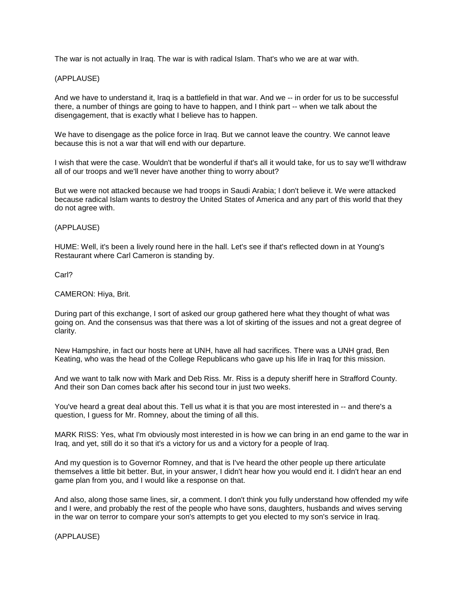The war is not actually in Iraq. The war is with radical Islam. That's who we are at war with.

(APPLAUSE)

And we have to understand it, Iraq is a battlefield in that war. And we -- in order for us to be successful there, a number of things are going to have to happen, and I think part -- when we talk about the disengagement, that is exactly what I believe has to happen.

We have to disengage as the police force in Iraq. But we cannot leave the country. We cannot leave because this is not a war that will end with our departure.

I wish that were the case. Wouldn't that be wonderful if that's all it would take, for us to say we'll withdraw all of our troops and we'll never have another thing to worry about?

But we were not attacked because we had troops in Saudi Arabia; I don't believe it. We were attacked because radical Islam wants to destroy the United States of America and any part of this world that they do not agree with.

#### (APPLAUSE)

HUME: Well, it's been a lively round here in the hall. Let's see if that's reflected down in at Young's Restaurant where Carl Cameron is standing by.

Carl?

#### CAMERON: Hiya, Brit.

During part of this exchange, I sort of asked our group gathered here what they thought of what was going on. And the consensus was that there was a lot of skirting of the issues and not a great degree of clarity.

New Hampshire, in fact our hosts here at UNH, have all had sacrifices. There was a UNH grad, Ben Keating, who was the head of the College Republicans who gave up his life in Iraq for this mission.

And we want to talk now with Mark and Deb Riss. Mr. Riss is a deputy sheriff here in Strafford County. And their son Dan comes back after his second tour in just two weeks.

You've heard a great deal about this. Tell us what it is that you are most interested in -- and there's a question, I guess for Mr. Romney, about the timing of all this.

MARK RISS: Yes, what I'm obviously most interested in is how we can bring in an end game to the war in Iraq, and yet, still do it so that it's a victory for us and a victory for a people of Iraq.

And my question is to Governor Romney, and that is I've heard the other people up there articulate themselves a little bit better. But, in your answer, I didn't hear how you would end it. I didn't hear an end game plan from you, and I would like a response on that.

And also, along those same lines, sir, a comment. I don't think you fully understand how offended my wife and I were, and probably the rest of the people who have sons, daughters, husbands and wives serving in the war on terror to compare your son's attempts to get you elected to my son's service in Iraq.

(APPLAUSE)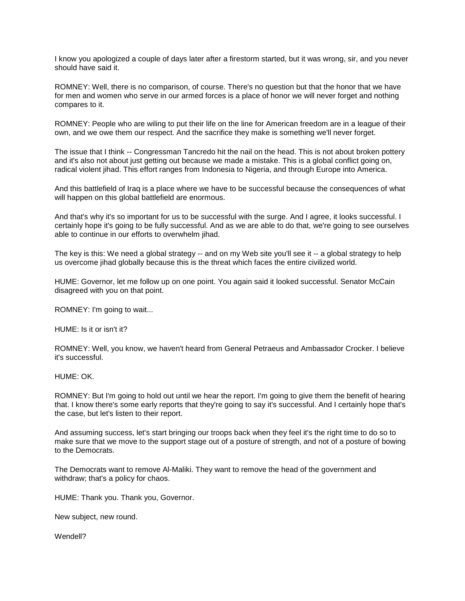I know you apologized a couple of days later after a firestorm started, but it was wrong, sir, and you never should have said it.

ROMNEY: Well, there is no comparison, of course. There's no question but that the honor that we have for men and women who serve in our armed forces is a place of honor we will never forget and nothing compares to it.

ROMNEY: People who are wiling to put their life on the line for American freedom are in a league of their own, and we owe them our respect. And the sacrifice they make is something we'll never forget.

The issue that I think -- Congressman Tancredo hit the nail on the head. This is not about broken pottery and it's also not about just getting out because we made a mistake. This is a global conflict going on, radical violent jihad. This effort ranges from Indonesia to Nigeria, and through Europe into America.

And this battlefield of Iraq is a place where we have to be successful because the consequences of what will happen on this global battlefield are enormous.

And that's why it's so important for us to be successful with the surge. And I agree, it looks successful. I certainly hope it's going to be fully successful. And as we are able to do that, we're going to see ourselves able to continue in our efforts to overwhelm jihad.

The key is this: We need a global strategy -- and on my Web site you'll see it -- a global strategy to help us overcome jihad globally because this is the threat which faces the entire civilized world.

HUME: Governor, let me follow up on one point. You again said it looked successful. Senator McCain disagreed with you on that point.

ROMNEY: I'm going to wait...

HUME: Is it or isn't it?

ROMNEY: Well, you know, we haven't heard from General Petraeus and Ambassador Crocker. I believe it's successful.

HUME: OK.

ROMNEY: But I'm going to hold out until we hear the report. I'm going to give them the benefit of hearing that. I know there's some early reports that they're going to say it's successful. And I certainly hope that's the case, but let's listen to their report.

And assuming success, let's start bringing our troops back when they feel it's the right time to do so to make sure that we move to the support stage out of a posture of strength, and not of a posture of bowing to the Democrats.

The Democrats want to remove Al-Maliki. They want to remove the head of the government and withdraw; that's a policy for chaos.

HUME: Thank you. Thank you, Governor.

New subject, new round.

Wendell?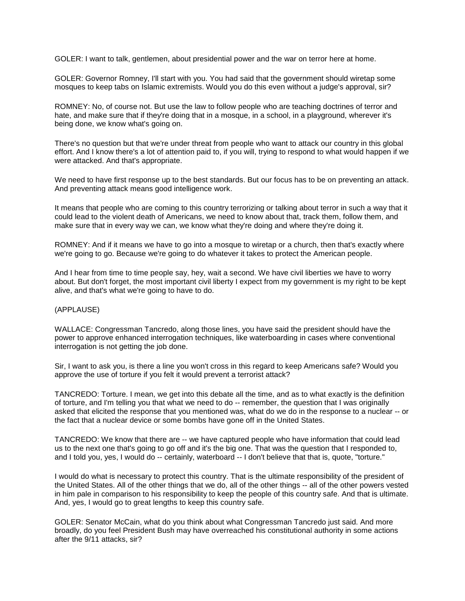GOLER: I want to talk, gentlemen, about presidential power and the war on terror here at home.

GOLER: Governor Romney, I'll start with you. You had said that the government should wiretap some mosques to keep tabs on Islamic extremists. Would you do this even without a judge's approval, sir?

ROMNEY: No, of course not. But use the law to follow people who are teaching doctrines of terror and hate, and make sure that if they're doing that in a mosque, in a school, in a playground, wherever it's being done, we know what's going on.

There's no question but that we're under threat from people who want to attack our country in this global effort. And I know there's a lot of attention paid to, if you will, trying to respond to what would happen if we were attacked. And that's appropriate.

We need to have first response up to the best standards. But our focus has to be on preventing an attack. And preventing attack means good intelligence work.

It means that people who are coming to this country terrorizing or talking about terror in such a way that it could lead to the violent death of Americans, we need to know about that, track them, follow them, and make sure that in every way we can, we know what they're doing and where they're doing it.

ROMNEY: And if it means we have to go into a mosque to wiretap or a church, then that's exactly where we're going to go. Because we're going to do whatever it takes to protect the American people.

And I hear from time to time people say, hey, wait a second. We have civil liberties we have to worry about. But don't forget, the most important civil liberty I expect from my government is my right to be kept alive, and that's what we're going to have to do.

#### (APPLAUSE)

WALLACE: Congressman Tancredo, along those lines, you have said the president should have the power to approve enhanced interrogation techniques, like waterboarding in cases where conventional interrogation is not getting the job done.

Sir, I want to ask you, is there a line you won't cross in this regard to keep Americans safe? Would you approve the use of torture if you felt it would prevent a terrorist attack?

TANCREDO: Torture. I mean, we get into this debate all the time, and as to what exactly is the definition of torture, and I'm telling you that what we need to do -- remember, the question that I was originally asked that elicited the response that you mentioned was, what do we do in the response to a nuclear -- or the fact that a nuclear device or some bombs have gone off in the United States.

TANCREDO: We know that there are -- we have captured people who have information that could lead us to the next one that's going to go off and it's the big one. That was the question that I responded to, and I told you, yes, I would do -- certainly, waterboard -- I don't believe that that is, quote, "torture."

I would do what is necessary to protect this country. That is the ultimate responsibility of the president of the United States. All of the other things that we do, all of the other things -- all of the other powers vested in him pale in comparison to his responsibility to keep the people of this country safe. And that is ultimate. And, yes, I would go to great lengths to keep this country safe.

GOLER: Senator McCain, what do you think about what Congressman Tancredo just said. And more broadly, do you feel President Bush may have overreached his constitutional authority in some actions after the 9/11 attacks, sir?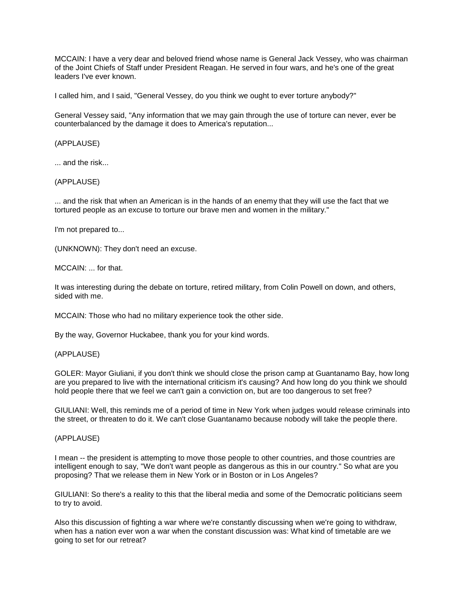MCCAIN: I have a very dear and beloved friend whose name is General Jack Vessey, who was chairman of the Joint Chiefs of Staff under President Reagan. He served in four wars, and he's one of the great leaders I've ever known.

I called him, and I said, "General Vessey, do you think we ought to ever torture anybody?"

General Vessey said, "Any information that we may gain through the use of torture can never, ever be counterbalanced by the damage it does to America's reputation...

(APPLAUSE)

... and the risk...

(APPLAUSE)

... and the risk that when an American is in the hands of an enemy that they will use the fact that we tortured people as an excuse to torture our brave men and women in the military."

I'm not prepared to...

(UNKNOWN): They don't need an excuse.

MCCAIN: ... for that.

It was interesting during the debate on torture, retired military, from Colin Powell on down, and others, sided with me.

MCCAIN: Those who had no military experience took the other side.

By the way, Governor Huckabee, thank you for your kind words.

(APPLAUSE)

GOLER: Mayor Giuliani, if you don't think we should close the prison camp at Guantanamo Bay, how long are you prepared to live with the international criticism it's causing? And how long do you think we should hold people there that we feel we can't gain a conviction on, but are too dangerous to set free?

GIULIANI: Well, this reminds me of a period of time in New York when judges would release criminals into the street, or threaten to do it. We can't close Guantanamo because nobody will take the people there.

(APPLAUSE)

I mean -- the president is attempting to move those people to other countries, and those countries are intelligent enough to say, "We don't want people as dangerous as this in our country." So what are you proposing? That we release them in New York or in Boston or in Los Angeles?

GIULIANI: So there's a reality to this that the liberal media and some of the Democratic politicians seem to try to avoid.

Also this discussion of fighting a war where we're constantly discussing when we're going to withdraw, when has a nation ever won a war when the constant discussion was: What kind of timetable are we going to set for our retreat?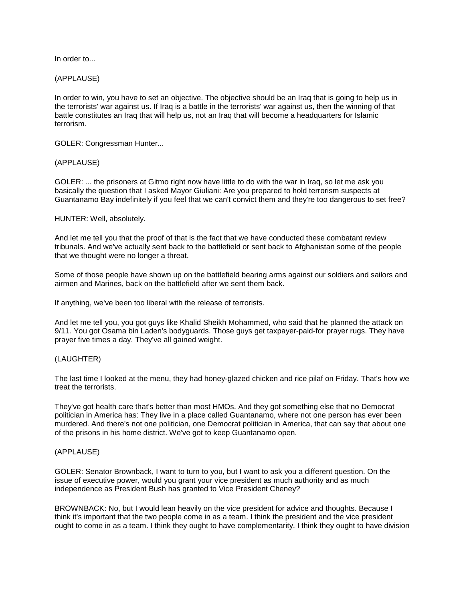In order to...

(APPLAUSE)

In order to win, you have to set an objective. The objective should be an Iraq that is going to help us in the terrorists' war against us. If Iraq is a battle in the terrorists' war against us, then the winning of that battle constitutes an Iraq that will help us, not an Iraq that will become a headquarters for Islamic terrorism.

GOLER: Congressman Hunter...

(APPLAUSE)

GOLER: ... the prisoners at Gitmo right now have little to do with the war in Iraq, so let me ask you basically the question that I asked Mayor Giuliani: Are you prepared to hold terrorism suspects at Guantanamo Bay indefinitely if you feel that we can't convict them and they're too dangerous to set free?

#### HUNTER: Well, absolutely.

And let me tell you that the proof of that is the fact that we have conducted these combatant review tribunals. And we've actually sent back to the battlefield or sent back to Afghanistan some of the people that we thought were no longer a threat.

Some of those people have shown up on the battlefield bearing arms against our soldiers and sailors and airmen and Marines, back on the battlefield after we sent them back.

If anything, we've been too liberal with the release of terrorists.

And let me tell you, you got guys like Khalid Sheikh Mohammed, who said that he planned the attack on 9/11. You got Osama bin Laden's bodyguards. Those guys get taxpayer-paid-for prayer rugs. They have prayer five times a day. They've all gained weight.

# (LAUGHTER)

The last time I looked at the menu, they had honey-glazed chicken and rice pilaf on Friday. That's how we treat the terrorists.

They've got health care that's better than most HMOs. And they got something else that no Democrat politician in America has: They live in a place called Guantanamo, where not one person has ever been murdered. And there's not one politician, one Democrat politician in America, that can say that about one of the prisons in his home district. We've got to keep Guantanamo open.

#### (APPLAUSE)

GOLER: Senator Brownback, I want to turn to you, but I want to ask you a different question. On the issue of executive power, would you grant your vice president as much authority and as much independence as President Bush has granted to Vice President Cheney?

BROWNBACK: No, but I would lean heavily on the vice president for advice and thoughts. Because I think it's important that the two people come in as a team. I think the president and the vice president ought to come in as a team. I think they ought to have complementarity. I think they ought to have division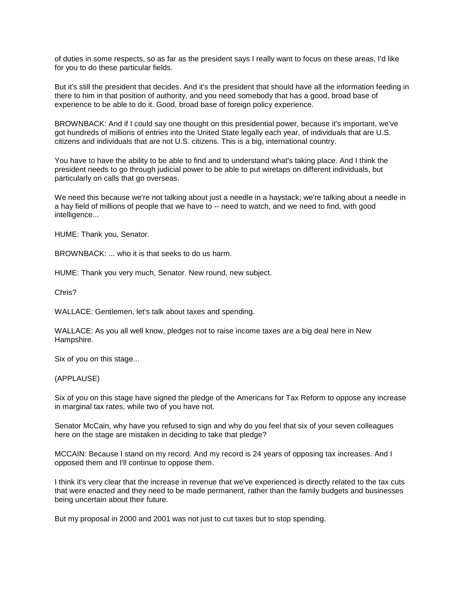of duties in some respects, so as far as the president says I really want to focus on these areas, I'd like for you to do these particular fields.

But it's still the president that decides. And it's the president that should have all the information feeding in there to him in that position of authority, and you need somebody that has a good, broad base of experience to be able to do it. Good, broad base of foreign policy experience.

BROWNBACK: And if I could say one thought on this presidential power, because it's important, we've got hundreds of millions of entries into the United State legally each year, of individuals that are U.S. citizens and individuals that are not U.S. citizens. This is a big, international country.

You have to have the ability to be able to find and to understand what's taking place. And I think the president needs to go through judicial power to be able to put wiretaps on different individuals, but particularly on calls that go overseas.

We need this because we're not talking about just a needle in a haystack; we're talking about a needle in a hay field of millions of people that we have to -- need to watch, and we need to find, with good intelligence...

HUME: Thank you, Senator.

BROWNBACK: ... who it is that seeks to do us harm.

HUME: Thank you very much, Senator. New round, new subject.

Chris?

WALLACE: Gentlemen, let's talk about taxes and spending.

WALLACE: As you all well know, pledges not to raise income taxes are a big deal here in New Hampshire.

Six of you on this stage...

(APPLAUSE)

Six of you on this stage have signed the pledge of the Americans for Tax Reform to oppose any increase in marginal tax rates, while two of you have not.

Senator McCain, why have you refused to sign and why do you feel that six of your seven colleagues here on the stage are mistaken in deciding to take that pledge?

MCCAIN: Because I stand on my record. And my record is 24 years of opposing tax increases. And I opposed them and I'll continue to oppose them.

I think it's very clear that the increase in revenue that we've experienced is directly related to the tax cuts that were enacted and they need to be made permanent, rather than the family budgets and businesses being uncertain about their future.

But my proposal in 2000 and 2001 was not just to cut taxes but to stop spending.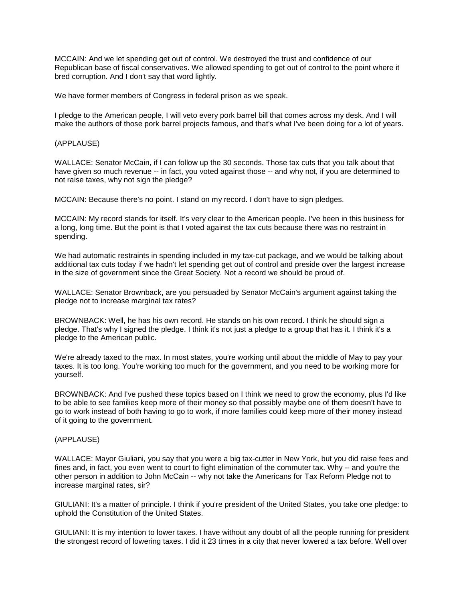MCCAIN: And we let spending get out of control. We destroyed the trust and confidence of our Republican base of fiscal conservatives. We allowed spending to get out of control to the point where it bred corruption. And I don't say that word lightly.

We have former members of Congress in federal prison as we speak.

I pledge to the American people, I will veto every pork barrel bill that comes across my desk. And I will make the authors of those pork barrel projects famous, and that's what I've been doing for a lot of years.

(APPLAUSE)

WALLACE: Senator McCain, if I can follow up the 30 seconds. Those tax cuts that you talk about that have given so much revenue -- in fact, you voted against those -- and why not, if you are determined to not raise taxes, why not sign the pledge?

MCCAIN: Because there's no point. I stand on my record. I don't have to sign pledges.

MCCAIN: My record stands for itself. It's very clear to the American people. I've been in this business for a long, long time. But the point is that I voted against the tax cuts because there was no restraint in spending.

We had automatic restraints in spending included in my tax-cut package, and we would be talking about additional tax cuts today if we hadn't let spending get out of control and preside over the largest increase in the size of government since the Great Society. Not a record we should be proud of.

WALLACE: Senator Brownback, are you persuaded by Senator McCain's argument against taking the pledge not to increase marginal tax rates?

BROWNBACK: Well, he has his own record. He stands on his own record. I think he should sign a pledge. That's why I signed the pledge. I think it's not just a pledge to a group that has it. I think it's a pledge to the American public.

We're already taxed to the max. In most states, you're working until about the middle of May to pay your taxes. It is too long. You're working too much for the government, and you need to be working more for yourself.

BROWNBACK: And I've pushed these topics based on I think we need to grow the economy, plus I'd like to be able to see families keep more of their money so that possibly maybe one of them doesn't have to go to work instead of both having to go to work, if more families could keep more of their money instead of it going to the government.

#### (APPLAUSE)

WALLACE: Mayor Giuliani, you say that you were a big tax-cutter in New York, but you did raise fees and fines and, in fact, you even went to court to fight elimination of the commuter tax. Why -- and you're the other person in addition to John McCain -- why not take the Americans for Tax Reform Pledge not to increase marginal rates, sir?

GIULIANI: It's a matter of principle. I think if you're president of the United States, you take one pledge: to uphold the Constitution of the United States.

GIULIANI: It is my intention to lower taxes. I have without any doubt of all the people running for president the strongest record of lowering taxes. I did it 23 times in a city that never lowered a tax before. Well over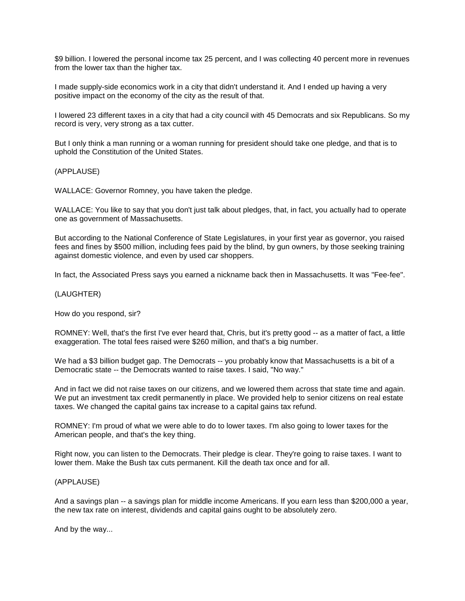\$9 billion. I lowered the personal income tax 25 percent, and I was collecting 40 percent more in revenues from the lower tax than the higher tax.

I made supply-side economics work in a city that didn't understand it. And I ended up having a very positive impact on the economy of the city as the result of that.

I lowered 23 different taxes in a city that had a city council with 45 Democrats and six Republicans. So my record is very, very strong as a tax cutter.

But I only think a man running or a woman running for president should take one pledge, and that is to uphold the Constitution of the United States.

(APPLAUSE)

WALLACE: Governor Romney, you have taken the pledge.

WALLACE: You like to say that you don't just talk about pledges, that, in fact, you actually had to operate one as government of Massachusetts.

But according to the National Conference of State Legislatures, in your first year as governor, you raised fees and fines by \$500 million, including fees paid by the blind, by gun owners, by those seeking training against domestic violence, and even by used car shoppers.

In fact, the Associated Press says you earned a nickname back then in Massachusetts. It was "Fee-fee".

### (LAUGHTER)

How do you respond, sir?

ROMNEY: Well, that's the first I've ever heard that, Chris, but it's pretty good -- as a matter of fact, a little exaggeration. The total fees raised were \$260 million, and that's a big number.

We had a \$3 billion budget gap. The Democrats -- you probably know that Massachusetts is a bit of a Democratic state -- the Democrats wanted to raise taxes. I said, "No way."

And in fact we did not raise taxes on our citizens, and we lowered them across that state time and again. We put an investment tax credit permanently in place. We provided help to senior citizens on real estate taxes. We changed the capital gains tax increase to a capital gains tax refund.

ROMNEY: I'm proud of what we were able to do to lower taxes. I'm also going to lower taxes for the American people, and that's the key thing.

Right now, you can listen to the Democrats. Their pledge is clear. They're going to raise taxes. I want to lower them. Make the Bush tax cuts permanent. Kill the death tax once and for all.

#### (APPLAUSE)

And a savings plan -- a savings plan for middle income Americans. If you earn less than \$200,000 a year, the new tax rate on interest, dividends and capital gains ought to be absolutely zero.

And by the way...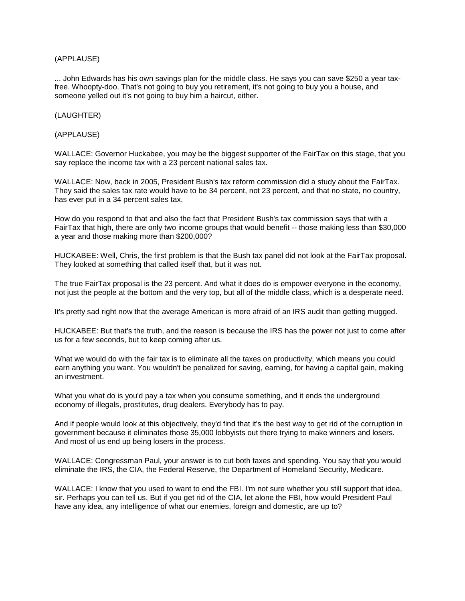# (APPLAUSE)

... John Edwards has his own savings plan for the middle class. He says you can save \$250 a year taxfree. Whoopty-doo. That's not going to buy you retirement, it's not going to buy you a house, and someone yelled out it's not going to buy him a haircut, either.

### (LAUGHTER)

### (APPLAUSE)

WALLACE: Governor Huckabee, you may be the biggest supporter of the FairTax on this stage, that you say replace the income tax with a 23 percent national sales tax.

WALLACE: Now, back in 2005, President Bush's tax reform commission did a study about the FairTax. They said the sales tax rate would have to be 34 percent, not 23 percent, and that no state, no country, has ever put in a 34 percent sales tax.

How do you respond to that and also the fact that President Bush's tax commission says that with a FairTax that high, there are only two income groups that would benefit -- those making less than \$30,000 a year and those making more than \$200,000?

HUCKABEE: Well, Chris, the first problem is that the Bush tax panel did not look at the FairTax proposal. They looked at something that called itself that, but it was not.

The true FairTax proposal is the 23 percent. And what it does do is empower everyone in the economy, not just the people at the bottom and the very top, but all of the middle class, which is a desperate need.

It's pretty sad right now that the average American is more afraid of an IRS audit than getting mugged.

HUCKABEE: But that's the truth, and the reason is because the IRS has the power not just to come after us for a few seconds, but to keep coming after us.

What we would do with the fair tax is to eliminate all the taxes on productivity, which means you could earn anything you want. You wouldn't be penalized for saving, earning, for having a capital gain, making an investment.

What you what do is you'd pay a tax when you consume something, and it ends the underground economy of illegals, prostitutes, drug dealers. Everybody has to pay.

And if people would look at this objectively, they'd find that it's the best way to get rid of the corruption in government because it eliminates those 35,000 lobbyists out there trying to make winners and losers. And most of us end up being losers in the process.

WALLACE: Congressman Paul, your answer is to cut both taxes and spending. You say that you would eliminate the IRS, the CIA, the Federal Reserve, the Department of Homeland Security, Medicare.

WALLACE: I know that you used to want to end the FBI. I'm not sure whether you still support that idea, sir. Perhaps you can tell us. But if you get rid of the CIA, let alone the FBI, how would President Paul have any idea, any intelligence of what our enemies, foreign and domestic, are up to?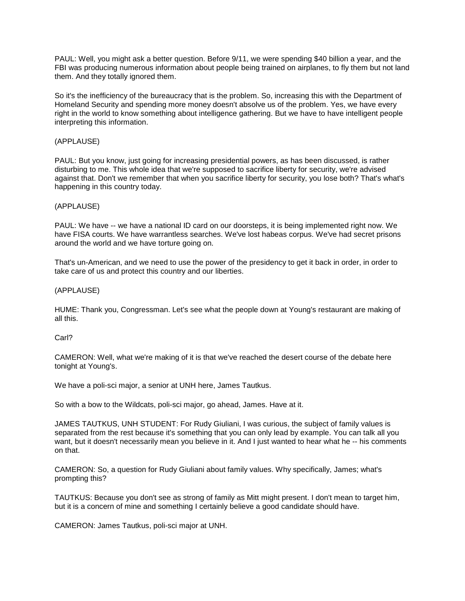PAUL: Well, you might ask a better question. Before 9/11, we were spending \$40 billion a year, and the FBI was producing numerous information about people being trained on airplanes, to fly them but not land them. And they totally ignored them.

So it's the inefficiency of the bureaucracy that is the problem. So, increasing this with the Department of Homeland Security and spending more money doesn't absolve us of the problem. Yes, we have every right in the world to know something about intelligence gathering. But we have to have intelligent people interpreting this information.

# (APPLAUSE)

PAUL: But you know, just going for increasing presidential powers, as has been discussed, is rather disturbing to me. This whole idea that we're supposed to sacrifice liberty for security, we're advised against that. Don't we remember that when you sacrifice liberty for security, you lose both? That's what's happening in this country today.

# (APPLAUSE)

PAUL: We have -- we have a national ID card on our doorsteps, it is being implemented right now. We have FISA courts. We have warrantless searches. We've lost habeas corpus. We've had secret prisons around the world and we have torture going on.

That's un-American, and we need to use the power of the presidency to get it back in order, in order to take care of us and protect this country and our liberties.

# (APPLAUSE)

HUME: Thank you, Congressman. Let's see what the people down at Young's restaurant are making of all this.

# Carl?

CAMERON: Well, what we're making of it is that we've reached the desert course of the debate here tonight at Young's.

We have a poli-sci major, a senior at UNH here, James Tautkus.

So with a bow to the Wildcats, poli-sci major, go ahead, James. Have at it.

JAMES TAUTKUS, UNH STUDENT: For Rudy Giuliani, I was curious, the subject of family values is separated from the rest because it's something that you can only lead by example. You can talk all you want, but it doesn't necessarily mean you believe in it. And I just wanted to hear what he -- his comments on that.

CAMERON: So, a question for Rudy Giuliani about family values. Why specifically, James; what's prompting this?

TAUTKUS: Because you don't see as strong of family as Mitt might present. I don't mean to target him, but it is a concern of mine and something I certainly believe a good candidate should have.

CAMERON: James Tautkus, poli-sci major at UNH.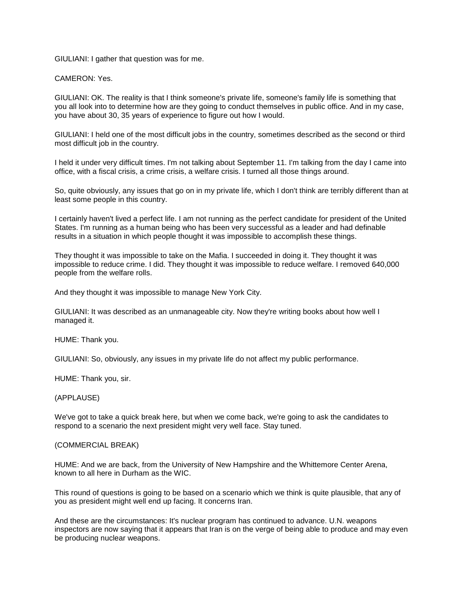GIULIANI: I gather that question was for me.

CAMERON: Yes.

GIULIANI: OK. The reality is that I think someone's private life, someone's family life is something that you all look into to determine how are they going to conduct themselves in public office. And in my case, you have about 30, 35 years of experience to figure out how I would.

GIULIANI: I held one of the most difficult jobs in the country, sometimes described as the second or third most difficult job in the country.

I held it under very difficult times. I'm not talking about September 11. I'm talking from the day I came into office, with a fiscal crisis, a crime crisis, a welfare crisis. I turned all those things around.

So, quite obviously, any issues that go on in my private life, which I don't think are terribly different than at least some people in this country.

I certainly haven't lived a perfect life. I am not running as the perfect candidate for president of the United States. I'm running as a human being who has been very successful as a leader and had definable results in a situation in which people thought it was impossible to accomplish these things.

They thought it was impossible to take on the Mafia. I succeeded in doing it. They thought it was impossible to reduce crime. I did. They thought it was impossible to reduce welfare. I removed 640,000 people from the welfare rolls.

And they thought it was impossible to manage New York City.

GIULIANI: It was described as an unmanageable city. Now they're writing books about how well I managed it.

HUME: Thank you.

GIULIANI: So, obviously, any issues in my private life do not affect my public performance.

HUME: Thank you, sir.

#### (APPLAUSE)

We've got to take a quick break here, but when we come back, we're going to ask the candidates to respond to a scenario the next president might very well face. Stay tuned.

#### (COMMERCIAL BREAK)

HUME: And we are back, from the University of New Hampshire and the Whittemore Center Arena, known to all here in Durham as the WIC.

This round of questions is going to be based on a scenario which we think is quite plausible, that any of you as president might well end up facing. It concerns Iran.

And these are the circumstances: It's nuclear program has continued to advance. U.N. weapons inspectors are now saying that it appears that Iran is on the verge of being able to produce and may even be producing nuclear weapons.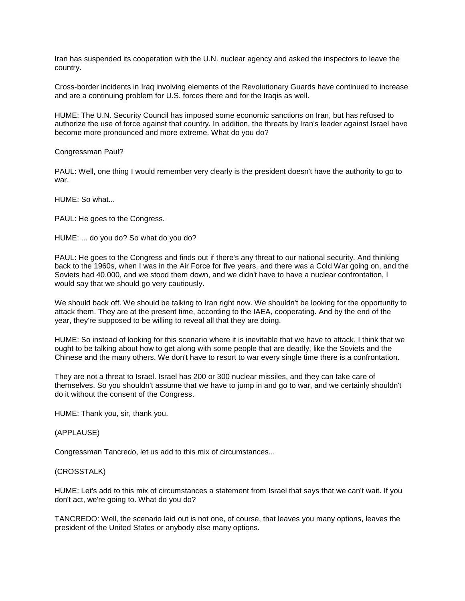Iran has suspended its cooperation with the U.N. nuclear agency and asked the inspectors to leave the country.

Cross-border incidents in Iraq involving elements of the Revolutionary Guards have continued to increase and are a continuing problem for U.S. forces there and for the Iraqis as well.

HUME: The U.N. Security Council has imposed some economic sanctions on Iran, but has refused to authorize the use of force against that country. In addition, the threats by Iran's leader against Israel have become more pronounced and more extreme. What do you do?

Congressman Paul?

PAUL: Well, one thing I would remember very clearly is the president doesn't have the authority to go to war.

HUME: So what...

PAUL: He goes to the Congress.

HUME: ... do you do? So what do you do?

PAUL: He goes to the Congress and finds out if there's any threat to our national security. And thinking back to the 1960s, when I was in the Air Force for five years, and there was a Cold War going on, and the Soviets had 40,000, and we stood them down, and we didn't have to have a nuclear confrontation, I would say that we should go very cautiously.

We should back off. We should be talking to Iran right now. We shouldn't be looking for the opportunity to attack them. They are at the present time, according to the IAEA, cooperating. And by the end of the year, they're supposed to be willing to reveal all that they are doing.

HUME: So instead of looking for this scenario where it is inevitable that we have to attack, I think that we ought to be talking about how to get along with some people that are deadly, like the Soviets and the Chinese and the many others. We don't have to resort to war every single time there is a confrontation.

They are not a threat to Israel. Israel has 200 or 300 nuclear missiles, and they can take care of themselves. So you shouldn't assume that we have to jump in and go to war, and we certainly shouldn't do it without the consent of the Congress.

HUME: Thank you, sir, thank you.

#### (APPLAUSE)

Congressman Tancredo, let us add to this mix of circumstances...

# (CROSSTALK)

HUME: Let's add to this mix of circumstances a statement from Israel that says that we can't wait. If you don't act, we're going to. What do you do?

TANCREDO: Well, the scenario laid out is not one, of course, that leaves you many options, leaves the president of the United States or anybody else many options.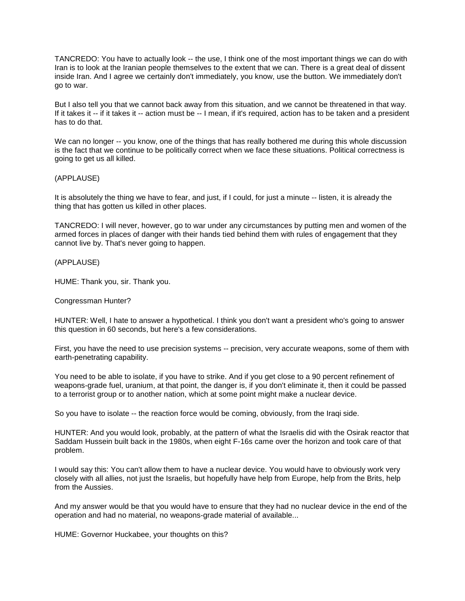TANCREDO: You have to actually look -- the use, I think one of the most important things we can do with Iran is to look at the Iranian people themselves to the extent that we can. There is a great deal of dissent inside Iran. And I agree we certainly don't immediately, you know, use the button. We immediately don't go to war.

But I also tell you that we cannot back away from this situation, and we cannot be threatened in that way. If it takes it -- if it takes it -- action must be -- I mean, if it's required, action has to be taken and a president has to do that.

We can no longer -- you know, one of the things that has really bothered me during this whole discussion is the fact that we continue to be politically correct when we face these situations. Political correctness is going to get us all killed.

### (APPLAUSE)

It is absolutely the thing we have to fear, and just, if I could, for just a minute -- listen, it is already the thing that has gotten us killed in other places.

TANCREDO: I will never, however, go to war under any circumstances by putting men and women of the armed forces in places of danger with their hands tied behind them with rules of engagement that they cannot live by. That's never going to happen.

(APPLAUSE)

HUME: Thank you, sir. Thank you.

Congressman Hunter?

HUNTER: Well, I hate to answer a hypothetical. I think you don't want a president who's going to answer this question in 60 seconds, but here's a few considerations.

First, you have the need to use precision systems -- precision, very accurate weapons, some of them with earth-penetrating capability.

You need to be able to isolate, if you have to strike. And if you get close to a 90 percent refinement of weapons-grade fuel, uranium, at that point, the danger is, if you don't eliminate it, then it could be passed to a terrorist group or to another nation, which at some point might make a nuclear device.

So you have to isolate -- the reaction force would be coming, obviously, from the Iraqi side.

HUNTER: And you would look, probably, at the pattern of what the Israelis did with the Osirak reactor that Saddam Hussein built back in the 1980s, when eight F-16s came over the horizon and took care of that problem.

I would say this: You can't allow them to have a nuclear device. You would have to obviously work very closely with all allies, not just the Israelis, but hopefully have help from Europe, help from the Brits, help from the Aussies.

And my answer would be that you would have to ensure that they had no nuclear device in the end of the operation and had no material, no weapons-grade material of available...

HUME: Governor Huckabee, your thoughts on this?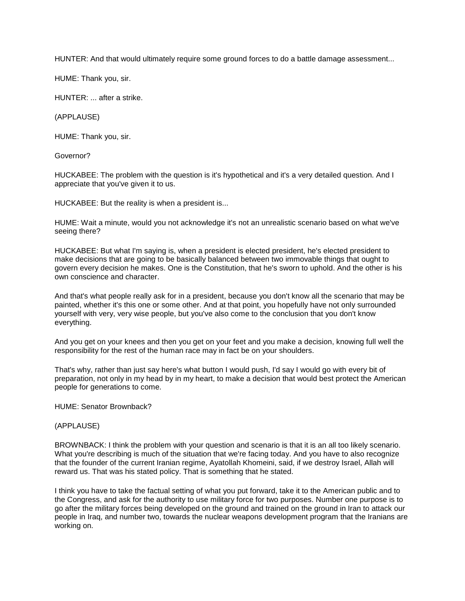HUNTER: And that would ultimately require some ground forces to do a battle damage assessment...

HUME: Thank you, sir.

HUNTER: ... after a strike.

(APPLAUSE)

HUME: Thank you, sir.

Governor?

HUCKABEE: The problem with the question is it's hypothetical and it's a very detailed question. And I appreciate that you've given it to us.

HUCKABEE: But the reality is when a president is...

HUME: Wait a minute, would you not acknowledge it's not an unrealistic scenario based on what we've seeing there?

HUCKABEE: But what I'm saying is, when a president is elected president, he's elected president to make decisions that are going to be basically balanced between two immovable things that ought to govern every decision he makes. One is the Constitution, that he's sworn to uphold. And the other is his own conscience and character.

And that's what people really ask for in a president, because you don't know all the scenario that may be painted, whether it's this one or some other. And at that point, you hopefully have not only surrounded yourself with very, very wise people, but you've also come to the conclusion that you don't know everything.

And you get on your knees and then you get on your feet and you make a decision, knowing full well the responsibility for the rest of the human race may in fact be on your shoulders.

That's why, rather than just say here's what button I would push, I'd say I would go with every bit of preparation, not only in my head by in my heart, to make a decision that would best protect the American people for generations to come.

HUME: Senator Brownback?

# (APPLAUSE)

BROWNBACK: I think the problem with your question and scenario is that it is an all too likely scenario. What you're describing is much of the situation that we're facing today. And you have to also recognize that the founder of the current Iranian regime, Ayatollah Khomeini, said, if we destroy Israel, Allah will reward us. That was his stated policy. That is something that he stated.

I think you have to take the factual setting of what you put forward, take it to the American public and to the Congress, and ask for the authority to use military force for two purposes. Number one purpose is to go after the military forces being developed on the ground and trained on the ground in Iran to attack our people in Iraq, and number two, towards the nuclear weapons development program that the Iranians are working on.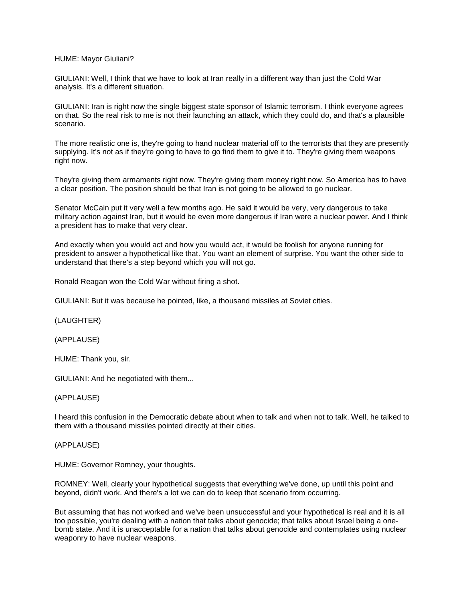#### HUME: Mayor Giuliani?

GIULIANI: Well, I think that we have to look at Iran really in a different way than just the Cold War analysis. It's a different situation.

GIULIANI: Iran is right now the single biggest state sponsor of Islamic terrorism. I think everyone agrees on that. So the real risk to me is not their launching an attack, which they could do, and that's a plausible scenario.

The more realistic one is, they're going to hand nuclear material off to the terrorists that they are presently supplying. It's not as if they're going to have to go find them to give it to. They're giving them weapons right now.

They're giving them armaments right now. They're giving them money right now. So America has to have a clear position. The position should be that Iran is not going to be allowed to go nuclear.

Senator McCain put it very well a few months ago. He said it would be very, very dangerous to take military action against Iran, but it would be even more dangerous if Iran were a nuclear power. And I think a president has to make that very clear.

And exactly when you would act and how you would act, it would be foolish for anyone running for president to answer a hypothetical like that. You want an element of surprise. You want the other side to understand that there's a step beyond which you will not go.

Ronald Reagan won the Cold War without firing a shot.

GIULIANI: But it was because he pointed, like, a thousand missiles at Soviet cities.

(LAUGHTER)

(APPLAUSE)

HUME: Thank you, sir.

GIULIANI: And he negotiated with them...

#### (APPLAUSE)

I heard this confusion in the Democratic debate about when to talk and when not to talk. Well, he talked to them with a thousand missiles pointed directly at their cities.

#### (APPLAUSE)

HUME: Governor Romney, your thoughts.

ROMNEY: Well, clearly your hypothetical suggests that everything we've done, up until this point and beyond, didn't work. And there's a lot we can do to keep that scenario from occurring.

But assuming that has not worked and we've been unsuccessful and your hypothetical is real and it is all too possible, you're dealing with a nation that talks about genocide; that talks about Israel being a onebomb state. And it is unacceptable for a nation that talks about genocide and contemplates using nuclear weaponry to have nuclear weapons.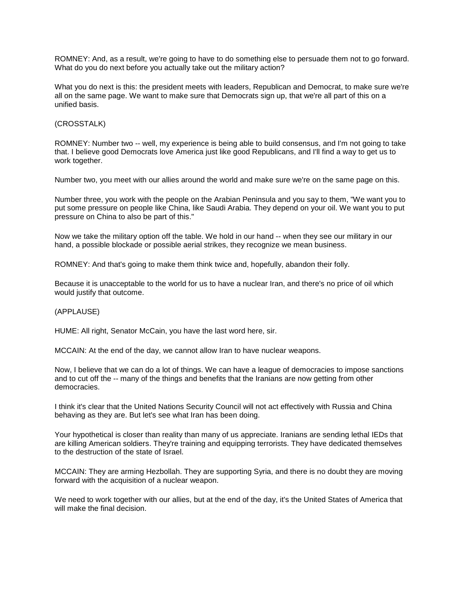ROMNEY: And, as a result, we're going to have to do something else to persuade them not to go forward. What do you do next before you actually take out the military action?

What you do next is this: the president meets with leaders, Republican and Democrat, to make sure we're all on the same page. We want to make sure that Democrats sign up, that we're all part of this on a unified basis.

### (CROSSTALK)

ROMNEY: Number two -- well, my experience is being able to build consensus, and I'm not going to take that. I believe good Democrats love America just like good Republicans, and I'll find a way to get us to work together.

Number two, you meet with our allies around the world and make sure we're on the same page on this.

Number three, you work with the people on the Arabian Peninsula and you say to them, "We want you to put some pressure on people like China, like Saudi Arabia. They depend on your oil. We want you to put pressure on China to also be part of this."

Now we take the military option off the table. We hold in our hand -- when they see our military in our hand, a possible blockade or possible aerial strikes, they recognize we mean business.

ROMNEY: And that's going to make them think twice and, hopefully, abandon their folly.

Because it is unacceptable to the world for us to have a nuclear Iran, and there's no price of oil which would justify that outcome.

#### (APPLAUSE)

HUME: All right, Senator McCain, you have the last word here, sir.

MCCAIN: At the end of the day, we cannot allow Iran to have nuclear weapons.

Now, I believe that we can do a lot of things. We can have a league of democracies to impose sanctions and to cut off the -- many of the things and benefits that the Iranians are now getting from other democracies.

I think it's clear that the United Nations Security Council will not act effectively with Russia and China behaving as they are. But let's see what Iran has been doing.

Your hypothetical is closer than reality than many of us appreciate. Iranians are sending lethal IEDs that are killing American soldiers. They're training and equipping terrorists. They have dedicated themselves to the destruction of the state of Israel.

MCCAIN: They are arming Hezbollah. They are supporting Syria, and there is no doubt they are moving forward with the acquisition of a nuclear weapon.

We need to work together with our allies, but at the end of the day, it's the United States of America that will make the final decision.